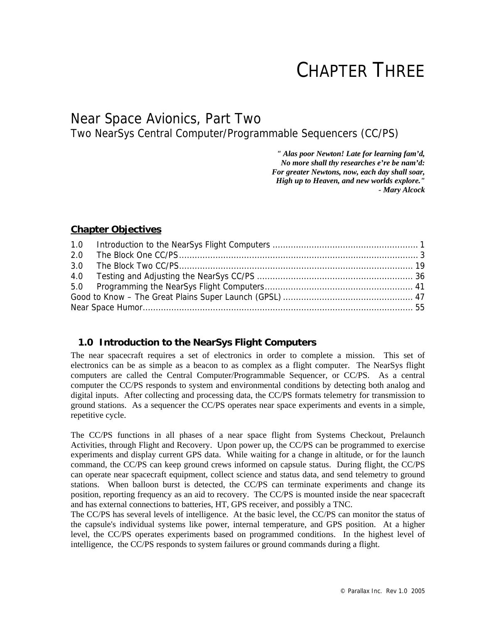# CHAPTER THREE

# Near Space Avionics, Part Two Two NearSys Central Computer/Programmable Sequencers (CC/PS)

*" Alas poor Newton! Late for learning fam'd, No more shall thy researches e're be nam'd: For greater Newtons, now, each day shall soar, High up to Heaven, and new worlds explore." - Mary Alcock* 

# **Chapter Objectives**

| 2.0 |  |
|-----|--|
|     |  |
|     |  |
|     |  |
|     |  |
|     |  |
|     |  |

# **1.0 Introduction to the NearSys Flight Computers**

The near spacecraft requires a set of electronics in order to complete a mission. This set of electronics can be as simple as a beacon to as complex as a flight computer. The NearSys flight computers are called the Central Computer/Programmable Sequencer, or CC/PS. As a central computer the CC/PS responds to system and environmental conditions by detecting both analog and digital inputs. After collecting and processing data, the CC/PS formats telemetry for transmission to ground stations. As a sequencer the CC/PS operates near space experiments and events in a simple, repetitive cycle.

The CC/PS functions in all phases of a near space flight from Systems Checkout, Prelaunch Activities, through Flight and Recovery. Upon power up, the CC/PS can be programmed to exercise experiments and display current GPS data. While waiting for a change in altitude, or for the launch command, the CC/PS can keep ground crews informed on capsule status. During flight, the CC/PS can operate near spacecraft equipment, collect science and status data, and send telemetry to ground stations. When balloon burst is detected, the CC/PS can terminate experiments and change its position, reporting frequency as an aid to recovery. The CC/PS is mounted inside the near spacecraft and has external connections to batteries, HT, GPS receiver, and possibly a TNC.

The CC/PS has several levels of intelligence. At the basic level, the CC/PS can monitor the status of the capsule's individual systems like power, internal temperature, and GPS position. At a higher level, the CC/PS operates experiments based on programmed conditions. In the highest level of intelligence, the CC/PS responds to system failures or ground commands during a flight.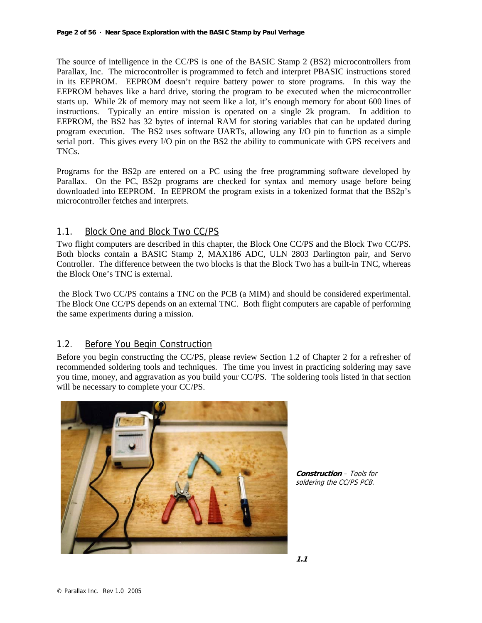The source of intelligence in the CC/PS is one of the BASIC Stamp 2 (BS2) microcontrollers from Parallax, Inc. The microcontroller is programmed to fetch and interpret PBASIC instructions stored in its EEPROM. EEPROM doesn't require battery power to store programs. In this way the EEPROM behaves like a hard drive, storing the program to be executed when the microcontroller starts up. While 2k of memory may not seem like a lot, it's enough memory for about 600 lines of instructions. Typically an entire mission is operated on a single 2k program. In addition to EEPROM, the BS2 has 32 bytes of internal RAM for storing variables that can be updated during program execution. The BS2 uses software UARTs, allowing any I/O pin to function as a simple serial port. This gives every I/O pin on the BS2 the ability to communicate with GPS receivers and TNCs.

Programs for the BS2p are entered on a PC using the free programming software developed by Parallax. On the PC, BS2p programs are checked for syntax and memory usage before being downloaded into EEPROM. In EEPROM the program exists in a tokenized format that the BS2p's microcontroller fetches and interprets.

# 1.1. Block One and Block Two CC/PS

Two flight computers are described in this chapter, the Block One CC/PS and the Block Two CC/PS. Both blocks contain a BASIC Stamp 2, MAX186 ADC, ULN 2803 Darlington pair, and Servo Controller. The difference between the two blocks is that the Block Two has a built-in TNC, whereas the Block One's TNC is external.

 the Block Two CC/PS contains a TNC on the PCB (a MIM) and should be considered experimental. The Block One CC/PS depends on an external TNC. Both flight computers are capable of performing the same experiments during a mission.

# 1.2. Before You Begin Construction

Before you begin constructing the CC/PS, please review Section 1.2 of Chapter 2 for a refresher of recommended soldering tools and techniques. The time you invest in practicing soldering may save you time, money, and aggravation as you build your CC/PS. The soldering tools listed in that section will be necessary to complete your CC/PS.



**Construction** – Tools for soldering the CC/PS PCB.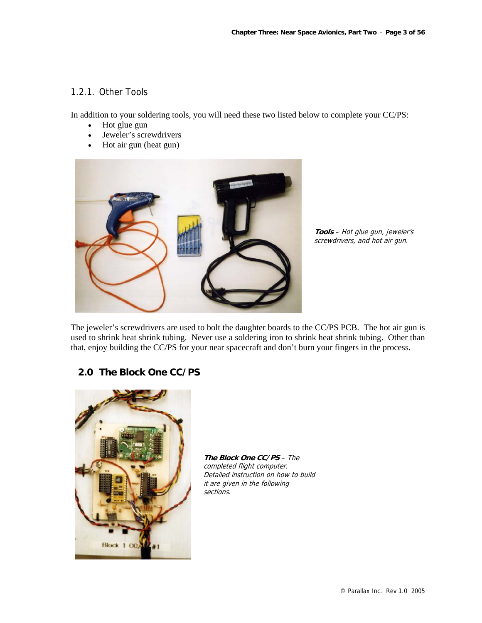# 1.2.1. Other Tools

In addition to your soldering tools, you will need these two listed below to complete your CC/PS:

- Hot glue gun
- Jeweler's screwdrivers
- Hot air gun (heat gun)



**Tools** – Hot glue gun, jeweler's screwdrivers, and hot air gun.

The jeweler's screwdrivers are used to bolt the daughter boards to the CC/PS PCB. The hot air gun is used to shrink heat shrink tubing. Never use a soldering iron to shrink heat shrink tubing. Other than that, enjoy building the CC/PS for your near spacecraft and don't burn your fingers in the process.

# **2.0 The Block One CC/PS**



**The Block One CC/PS** – The completed flight computer. Detailed instruction on how to build it are given in the following sections.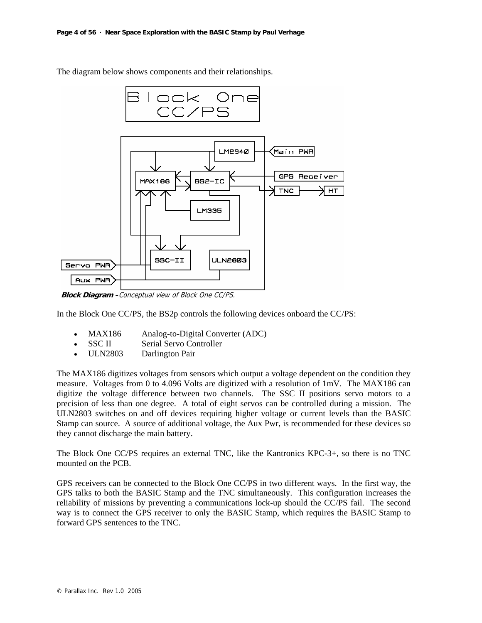

The diagram below shows components and their relationships.

**Block Diagram** –Conceptual view of Block One CC/PS.

In the Block One CC/PS, the BS2p controls the following devices onboard the CC/PS:

- MAX186 Analog-to-Digital Converter (ADC)
- SSC II Serial Servo Controller
- ULN2803 Darlington Pair

The MAX186 digitizes voltages from sensors which output a voltage dependent on the condition they measure. Voltages from 0 to 4.096 Volts are digitized with a resolution of 1mV. The MAX186 can digitize the voltage difference between two channels. The SSC II positions servo motors to a precision of less than one degree. A total of eight servos can be controlled during a mission. The ULN2803 switches on and off devices requiring higher voltage or current levels than the BASIC Stamp can source. A source of additional voltage, the Aux Pwr, is recommended for these devices so they cannot discharge the main battery.

The Block One CC/PS requires an external TNC, like the Kantronics KPC-3+, so there is no TNC mounted on the PCB.

GPS receivers can be connected to the Block One CC/PS in two different ways. In the first way, the GPS talks to both the BASIC Stamp and the TNC simultaneously. This configuration increases the reliability of missions by preventing a communications lock-up should the CC/PS fail. The second way is to connect the GPS receiver to only the BASIC Stamp, which requires the BASIC Stamp to forward GPS sentences to the TNC.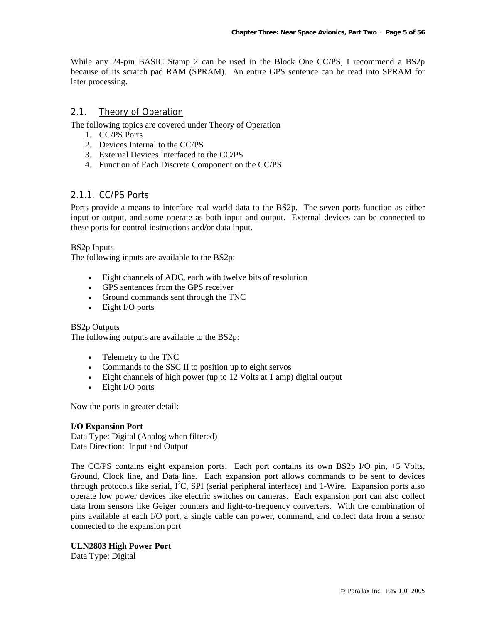While any 24-pin BASIC Stamp 2 can be used in the Block One CC/PS, I recommend a BS2p because of its scratch pad RAM (SPRAM). An entire GPS sentence can be read into SPRAM for later processing.

#### 2.1. Theory of Operation

The following topics are covered under Theory of Operation

- 1. CC/PS Ports
- 2. Devices Internal to the CC/PS
- 3. External Devices Interfaced to the CC/PS
- 4. Function of Each Discrete Component on the CC/PS

# 2.1.1. CC/PS Ports

Ports provide a means to interface real world data to the BS2p. The seven ports function as either input or output, and some operate as both input and output. External devices can be connected to these ports for control instructions and/or data input.

#### BS2p Inputs

The following inputs are available to the BS2p:

- Eight channels of ADC, each with twelve bits of resolution
- GPS sentences from the GPS receiver
- Ground commands sent through the TNC
- Eight I/O ports

#### BS2p Outputs

The following outputs are available to the BS2p:

- Telemetry to the TNC
- Commands to the SSC II to position up to eight servos
- Eight channels of high power (up to 12 Volts at 1 amp) digital output
- Eight I/O ports

Now the ports in greater detail:

#### **I/O Expansion Port**

Data Type: Digital (Analog when filtered) Data Direction: Input and Output

The CC/PS contains eight expansion ports. Each port contains its own BS2p I/O pin, +5 Volts, Ground, Clock line, and Data line. Each expansion port allows commands to be sent to devices through protocols like serial,  $I^2C$ , SPI (serial peripheral interface) and 1-Wire. Expansion ports also operate low power devices like electric switches on cameras. Each expansion port can also collect data from sensors like Geiger counters and light-to-frequency converters. With the combination of pins available at each I/O port, a single cable can power, command, and collect data from a sensor connected to the expansion port

#### **ULN2803 High Power Port**

Data Type: Digital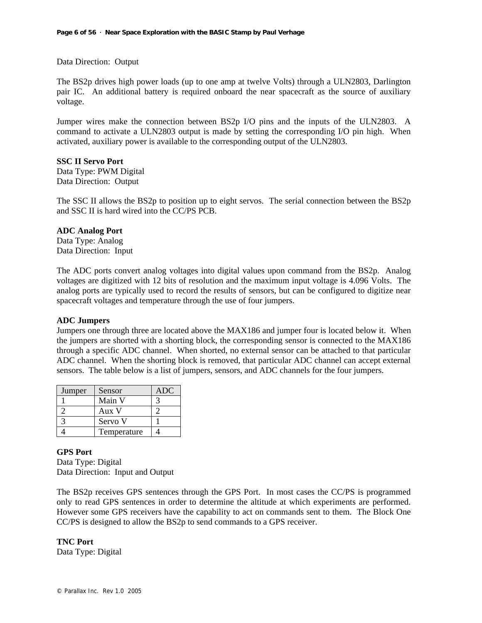Data Direction: Output

The BS2p drives high power loads (up to one amp at twelve Volts) through a ULN2803, Darlington pair IC. An additional battery is required onboard the near spacecraft as the source of auxiliary voltage.

Jumper wires make the connection between BS2p I/O pins and the inputs of the ULN2803. A command to activate a ULN2803 output is made by setting the corresponding I/O pin high. When activated, auxiliary power is available to the corresponding output of the ULN2803.

#### **SSC II Servo Port**

Data Type: PWM Digital Data Direction: Output

The SSC II allows the BS2p to position up to eight servos. The serial connection between the BS2p and SSC II is hard wired into the CC/PS PCB.

#### **ADC Analog Port**

Data Type: Analog Data Direction: Input

The ADC ports convert analog voltages into digital values upon command from the BS2p. Analog voltages are digitized with 12 bits of resolution and the maximum input voltage is 4.096 Volts. The analog ports are typically used to record the results of sensors, but can be configured to digitize near spacecraft voltages and temperature through the use of four jumpers.

#### **ADC Jumpers**

Jumpers one through three are located above the MAX186 and jumper four is located below it. When the jumpers are shorted with a shorting block, the corresponding sensor is connected to the MAX186 through a specific ADC channel. When shorted, no external sensor can be attached to that particular ADC channel. When the shorting block is removed, that particular ADC channel can accept external sensors. The table below is a list of jumpers, sensors, and ADC channels for the four jumpers.

| Jumper | Sensor      | ADC |
|--------|-------------|-----|
|        | Main V      |     |
|        | Aux V       |     |
|        | Servo V     |     |
|        | Temperature |     |

**GPS Port**  Data Type: Digital Data Direction: Input and Output

The BS2p receives GPS sentences through the GPS Port. In most cases the CC/PS is programmed only to read GPS sentences in order to determine the altitude at which experiments are performed. However some GPS receivers have the capability to act on commands sent to them. The Block One CC/PS is designed to allow the BS2p to send commands to a GPS receiver.

**TNC Port**  Data Type: Digital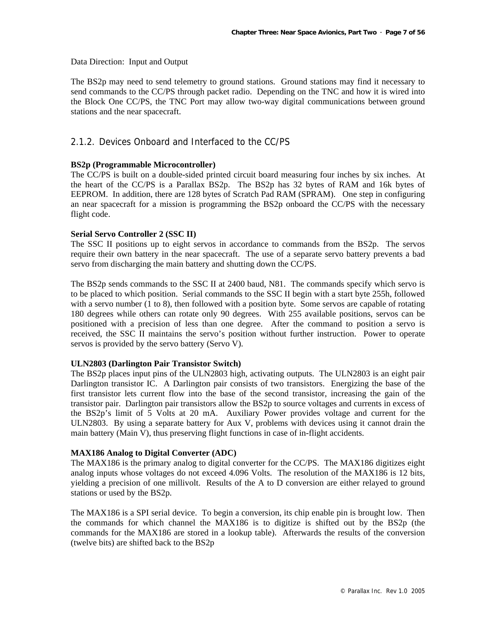Data Direction: Input and Output

The BS2p may need to send telemetry to ground stations. Ground stations may find it necessary to send commands to the CC/PS through packet radio. Depending on the TNC and how it is wired into the Block One CC/PS, the TNC Port may allow two-way digital communications between ground stations and the near spacecraft.

# 2.1.2. Devices Onboard and Interfaced to the CC/PS

#### **BS2p (Programmable Microcontroller)**

The CC/PS is built on a double-sided printed circuit board measuring four inches by six inches. At the heart of the CC/PS is a Parallax BS2p. The BS2p has 32 bytes of RAM and 16k bytes of EEPROM. In addition, there are 128 bytes of Scratch Pad RAM (SPRAM). One step in configuring an near spacecraft for a mission is programming the BS2p onboard the CC/PS with the necessary flight code.

#### **Serial Servo Controller 2 (SSC II)**

The SSC II positions up to eight servos in accordance to commands from the BS2p. The servos require their own battery in the near spacecraft. The use of a separate servo battery prevents a bad servo from discharging the main battery and shutting down the CC/PS.

The BS2p sends commands to the SSC II at 2400 baud, N81. The commands specify which servo is to be placed to which position. Serial commands to the SSC II begin with a start byte 255h, followed with a servo number (1 to 8), then followed with a position byte. Some servos are capable of rotating 180 degrees while others can rotate only 90 degrees. With 255 available positions, servos can be positioned with a precision of less than one degree. After the command to position a servo is received, the SSC II maintains the servo's position without further instruction. Power to operate servos is provided by the servo battery (Servo V).

#### **ULN2803 (Darlington Pair Transistor Switch)**

The BS2p places input pins of the ULN2803 high, activating outputs. The ULN2803 is an eight pair Darlington transistor IC. A Darlington pair consists of two transistors. Energizing the base of the first transistor lets current flow into the base of the second transistor, increasing the gain of the transistor pair. Darlington pair transistors allow the BS2p to source voltages and currents in excess of the BS2p's limit of 5 Volts at 20 mA. Auxiliary Power provides voltage and current for the ULN2803. By using a separate battery for Aux V, problems with devices using it cannot drain the main battery (Main V), thus preserving flight functions in case of in-flight accidents.

#### **MAX186 Analog to Digital Converter (ADC)**

The MAX186 is the primary analog to digital converter for the CC/PS. The MAX186 digitizes eight analog inputs whose voltages do not exceed 4.096 Volts. The resolution of the MAX186 is 12 bits, yielding a precision of one millivolt. Results of the A to D conversion are either relayed to ground stations or used by the BS2p.

The MAX186 is a SPI serial device. To begin a conversion, its chip enable pin is brought low. Then the commands for which channel the MAX186 is to digitize is shifted out by the BS2p (the commands for the MAX186 are stored in a lookup table). Afterwards the results of the conversion (twelve bits) are shifted back to the BS2p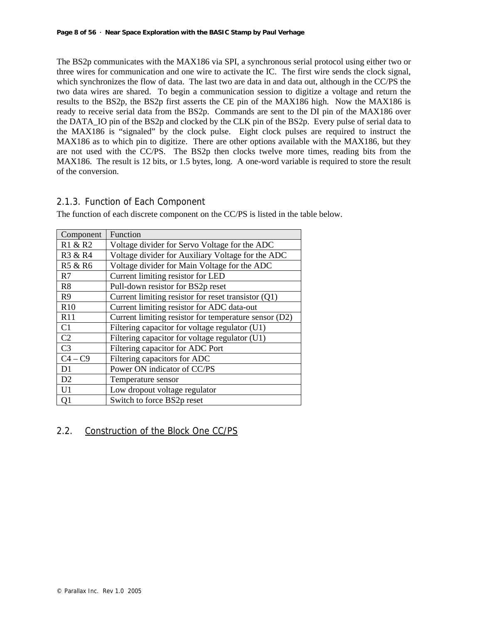The BS2p communicates with the MAX186 via SPI, a synchronous serial protocol using either two or three wires for communication and one wire to activate the IC. The first wire sends the clock signal, which synchronizes the flow of data. The last two are data in and data out, although in the CC/PS the two data wires are shared. To begin a communication session to digitize a voltage and return the results to the BS2p, the BS2p first asserts the CE pin of the MAX186 high. Now the MAX186 is ready to receive serial data from the BS2p. Commands are sent to the DI pin of the MAX186 over the DATA\_IO pin of the BS2p and clocked by the CLK pin of the BS2p. Every pulse of serial data to the MAX186 is "signaled" by the clock pulse. Eight clock pulses are required to instruct the MAX186 as to which pin to digitize. There are other options available with the MAX186, but they are not used with the CC/PS. The BS2p then clocks twelve more times, reading bits from the MAX186. The result is 12 bits, or 1.5 bytes, long. A one-word variable is required to store the result of the conversion.

# 2.1.3. Function of Each Component

The function of each discrete component on the CC/PS is listed in the table below.

| Component       | Function                                              |
|-----------------|-------------------------------------------------------|
| R1 & R2         | Voltage divider for Servo Voltage for the ADC         |
| R3 & R4         | Voltage divider for Auxiliary Voltage for the ADC     |
| R5 & R6         | Voltage divider for Main Voltage for the ADC          |
| R7              | Current limiting resistor for LED                     |
| R8              | Pull-down resistor for BS2p reset                     |
| R <sub>9</sub>  | Current limiting resistor for reset transistor $(Q1)$ |
| R10             | Current limiting resistor for ADC data-out            |
| R11             | Current limiting resistor for temperature sensor (D2) |
| C1              | Filtering capacitor for voltage regulator (U1)        |
| C2              | Filtering capacitor for voltage regulator (U1)        |
| $\overline{C}3$ | Filtering capacitor for ADC Port                      |
| $C4 - C9$       | Filtering capacitors for ADC                          |
| D1              | Power ON indicator of CC/PS                           |
| D2              | Temperature sensor                                    |
| U1              | Low dropout voltage regulator                         |
| Q1              | Switch to force BS2p reset                            |

# 2.2. Construction of the Block One CC/PS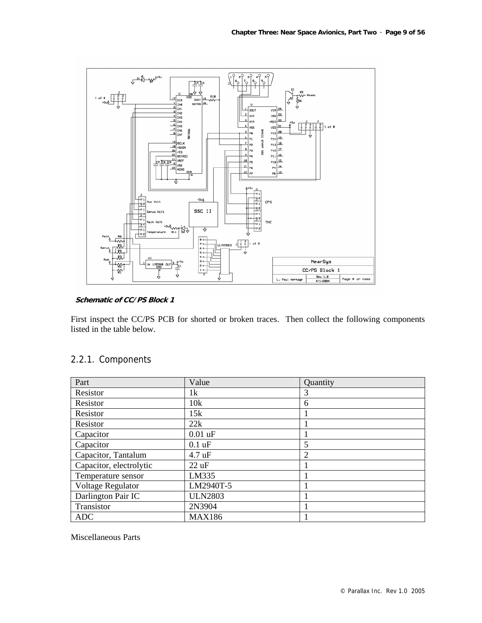

#### **Schematic of CC/PS Block 1**

First inspect the CC/PS PCB for shorted or broken traces. Then collect the following components listed in the table below.

# 2.2.1. Components

| Part                    | Value            | Quantity       |
|-------------------------|------------------|----------------|
| Resistor                | 1k               | 3              |
| Resistor                | 10k              | 6              |
| Resistor                | 15k              |                |
| Resistor                | 22k              |                |
| Capacitor               | $0.01$ uF        |                |
| Capacitor               | $0.1$ uF         | 5              |
| Capacitor, Tantalum     | $4.7 \text{ uF}$ | $\overline{2}$ |
| Capacitor, electrolytic | $22 \text{ uF}$  |                |
| Temperature sensor      | LM335            |                |
| Voltage Regulator       | LM2940T-5        |                |
| Darlington Pair IC      | <b>ULN2803</b>   |                |
| Transistor              | 2N3904           |                |
| ADC                     | <b>MAX186</b>    |                |

Miscellaneous Parts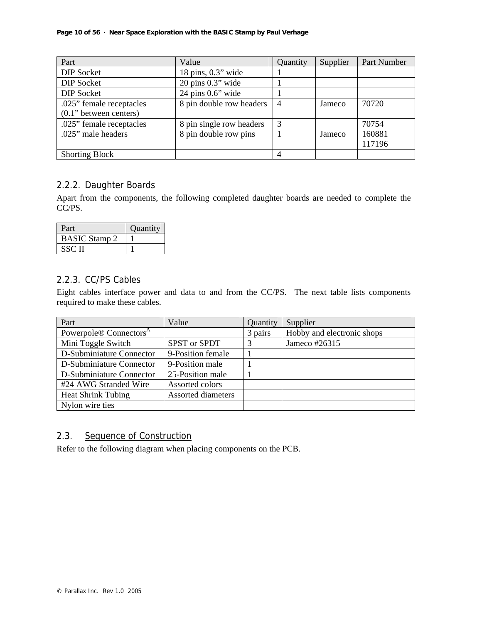| Part                       | Value                                | Quantity       | Supplier | Part Number |
|----------------------------|--------------------------------------|----------------|----------|-------------|
| <b>DIP</b> Socket          | $18 \text{ pins}, 0.3" \text{ wide}$ |                |          |             |
| <b>DIP</b> Socket          | $20$ pins $0.3$ " wide               |                |          |             |
| <b>DIP</b> Socket          | $24 \text{ pins } 0.6" \text{ wide}$ |                |          |             |
| .025" female receptacles   | 8 pin double row headers             | $\overline{4}$ | Jameco   | 70720       |
| $(0.1)$ " between centers) |                                      |                |          |             |
| .025" female receptacles   | 8 pin single row headers             | 3              |          | 70754       |
| .025" male headers         | 8 pin double row pins                |                | Jameco   | 160881      |
|                            |                                      |                |          | 117196      |
| <b>Shorting Block</b>      |                                      | $\overline{4}$ |          |             |

# 2.2.2. Daughter Boards

Apart from the components, the following completed daughter boards are needed to complete the CC/PS.

| Part                 | Quantity |
|----------------------|----------|
| <b>BASIC Stamp 2</b> |          |
| SSC II               |          |

# 2.2.3. CC/PS Cables

Eight cables interface power and data to and from the CC/PS. The next table lists components required to make these cables.

| Part                               | Value                     | Quantity | Supplier                   |
|------------------------------------|---------------------------|----------|----------------------------|
| Powerpole® Connectors <sup>A</sup> |                           | 3 pairs  | Hobby and electronic shops |
| Mini Toggle Switch                 | SPST or SPDT              | 3        | Jameco #26315              |
| D-Subminiature Connector           | 9-Position female         |          |                            |
| D-Subminiature Connector           | 9-Position male           |          |                            |
| D-Subminiature Connector           | 25-Position male          |          |                            |
| #24 AWG Stranded Wire              | Assorted colors           |          |                            |
| <b>Heat Shrink Tubing</b>          | <b>Assorted diameters</b> |          |                            |
| Nylon wire ties                    |                           |          |                            |

# 2.3. Sequence of Construction

Refer to the following diagram when placing components on the PCB.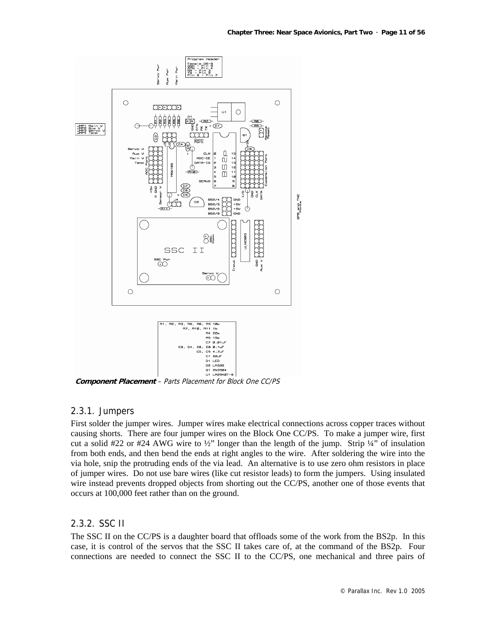

**Component Placement** – Parts Placement for Block One CC/PS

#### 2.3.1. Jumpers

First solder the jumper wires. Jumper wires make electrical connections across copper traces without causing shorts. There are four jumper wires on the Block One CC/PS. To make a jumper wire, first cut a solid #22 or #24 AWG wire to  $\frac{1}{2}$ " longer than the length of the jump. Strip  $\frac{1}{4}$ " of insulation from both ends, and then bend the ends at right angles to the wire. After soldering the wire into the via hole, snip the protruding ends of the via lead. An alternative is to use zero ohm resistors in place of jumper wires. Do not use bare wires (like cut resistor leads) to form the jumpers. Using insulated wire instead prevents dropped objects from shorting out the CC/PS, another one of those events that occurs at 100,000 feet rather than on the ground.

### 2.3.2. SSC II

The SSC II on the CC/PS is a daughter board that offloads some of the work from the BS2p. In this case, it is control of the servos that the SSC II takes care of, at the command of the BS2p. Four connections are needed to connect the SSC II to the CC/PS, one mechanical and three pairs of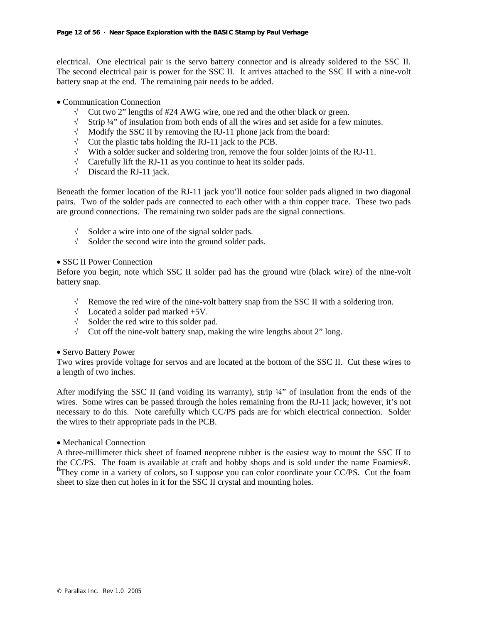electrical. One electrical pair is the servo battery connector and is already soldered to the SSC II. The second electrical pair is power for the SSC II. It arrives attached to the SSC II with a nine-volt battery snap at the end. The remaining pair needs to be added.

- Communication Connection
	- √ Cut two 2" lengths of #24 AWG wire, one red and the other black or green.
	- $\sqrt{\phantom{a}}$  Strip ¼" of insulation from both ends of all the wires and set aside for a few minutes.
	- √ Modify the SSC II by removing the RJ-11 phone jack from the board:
	- √ Cut the plastic tabs holding the RJ-11 jack to the PCB.
	- $\sqrt{\phantom{a}}$  With a solder sucker and soldering iron, remove the four solder joints of the RJ-11.
	- √ Carefully lift the RJ-11 as you continue to heat its solder pads.
	- $\sqrt{\phantom{a}}$  Discard the RJ-11 jack.

Beneath the former location of the RJ-11 jack you'll notice four solder pads aligned in two diagonal pairs. Two of the solder pads are connected to each other with a thin copper trace. These two pads are ground connections. The remaining two solder pads are the signal connections.

- √ Solder a wire into one of the signal solder pads.
- √ Solder the second wire into the ground solder pads.

#### • SSC II Power Connection

Before you begin, note which SSC II solder pad has the ground wire (black wire) of the nine-volt battery snap.

- $\sqrt{\phantom{a}}$  Remove the red wire of the nine-volt battery snap from the SSC II with a soldering iron.
- √ Located a solder pad marked +5V.
- √ Solder the red wire to this solder pad.
- $\sqrt{\phantom{a}}$  Cut off the nine-volt battery snap, making the wire lengths about 2" long.

#### • Servo Battery Power

Two wires provide voltage for servos and are located at the bottom of the SSC II. Cut these wires to a length of two inches.

After modifying the SSC II (and voiding its warranty), strip ¼" of insulation from the ends of the wires. Some wires can be passed through the holes remaining from the RJ-11 jack; however, it's not necessary to do this. Note carefully which CC/PS pads are for which electrical connection. Solder the wires to their appropriate pads in the PCB.

#### • Mechanical Connection

A three-millimeter thick sheet of foamed neoprene rubber is the easiest way to mount the SSC II to the CC/PS. The foam is available at craft and hobby shops and is sold under the name Foamies®. <sup>B</sup>They come in a variety of colors, so I suppose you can color coordinate your CC/PS. Cut the foam sheet to size then cut holes in it for the SSC II crystal and mounting holes.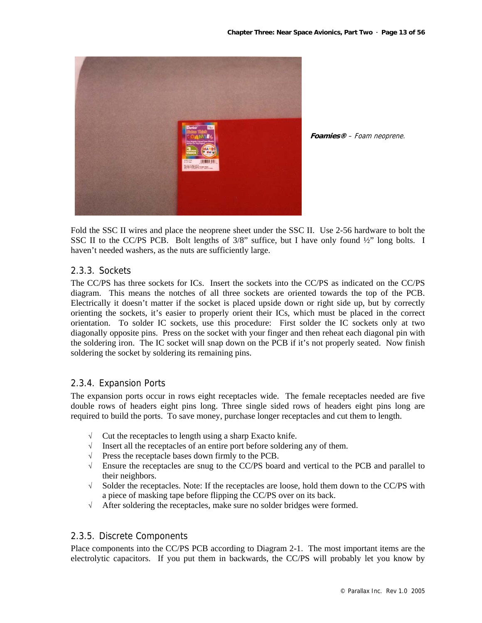

**Foamies®** – Foam neoprene.

Fold the SSC II wires and place the neoprene sheet under the SSC II. Use 2-56 hardware to bolt the SSC II to the CC/PS PCB. Bolt lengths of  $3/8$ " suffice, but I have only found  $\frac{1}{2}$ " long bolts. I haven't needed washers, as the nuts are sufficiently large.

# 2.3.3. Sockets

The CC/PS has three sockets for ICs. Insert the sockets into the CC/PS as indicated on the CC/PS diagram. This means the notches of all three sockets are oriented towards the top of the PCB. Electrically it doesn't matter if the socket is placed upside down or right side up, but by correctly orienting the sockets, it's easier to properly orient their ICs, which must be placed in the correct orientation. To solder IC sockets, use this procedure: First solder the IC sockets only at two diagonally opposite pins. Press on the socket with your finger and then reheat each diagonal pin with the soldering iron. The IC socket will snap down on the PCB if it's not properly seated. Now finish soldering the socket by soldering its remaining pins.

#### 2.3.4. Expansion Ports

The expansion ports occur in rows eight receptacles wide. The female receptacles needed are five double rows of headers eight pins long. Three single sided rows of headers eight pins long are required to build the ports. To save money, purchase longer receptacles and cut them to length.

- √ Cut the receptacles to length using a sharp Exacto knife.
- √ Insert all the receptacles of an entire port before soldering any of them.
- √ Press the receptacle bases down firmly to the PCB.
- √ Ensure the receptacles are snug to the CC/PS board and vertical to the PCB and parallel to their neighbors.
- $\sqrt{\phantom{a}}$  Solder the receptacles. Note: If the receptacles are loose, hold them down to the CC/PS with a piece of masking tape before flipping the CC/PS over on its back.
- √ After soldering the receptacles, make sure no solder bridges were formed.

#### 2.3.5. Discrete Components

Place components into the CC/PS PCB according to Diagram 2-1. The most important items are the electrolytic capacitors. If you put them in backwards, the CC/PS will probably let you know by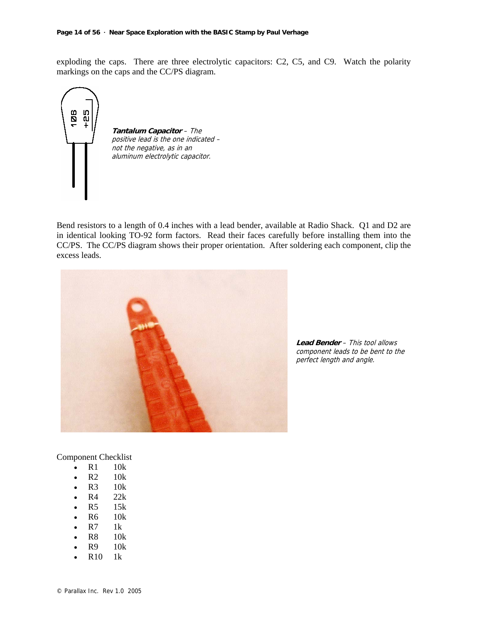exploding the caps. There are three electrolytic capacitors: C2, C5, and C9. Watch the polarity markings on the caps and the CC/PS diagram.



**Tantalum Capacitor** – The positive lead is the one indicated – not the negative, as in an aluminum electrolytic capacitor.

Bend resistors to a length of 0.4 inches with a lead bender, available at Radio Shack. Q1 and D2 are in identical looking TO-92 form factors. Read their faces carefully before installing them into the CC/PS. The CC/PS diagram shows their proper orientation. After soldering each component, clip the excess leads.



**Lead Bender** – This tool allows component leads to be bent to the perfect length and angle.

Component Checklist

- R1 10k
- R2 10k
- $\bullet$  R3 10k
- $\bullet$  R4 22k
- R5 15k
- R6 10k
- $R7$  1k
- R8 10k
- R9 10k
- $R10$  1k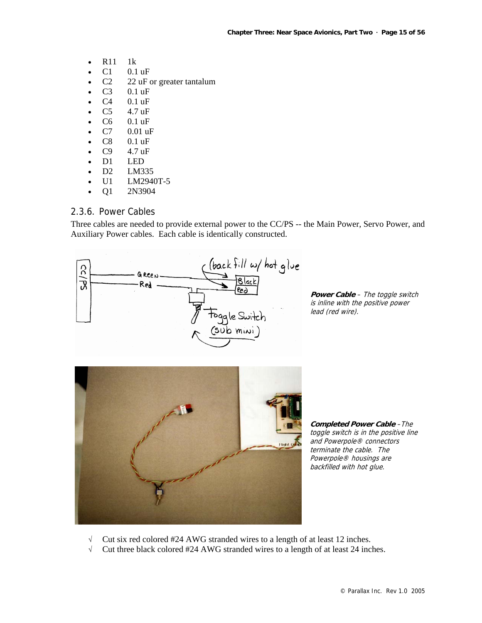- R11 1k
- $C1$  0.1 uF
- C<sub>2</sub> 22 uF or greater tantalum
- C3 0.1 uF
- $C4$  0.1 uF
- C5 4.7 uF
- C6 0.1 uF
- C7 0.01 uF
- $C8$  0.1 uF
- $C9$  4.7 uF
- D1 LED
- D2 LM335
- U1 LM2940T-5
- Q1 2N3904

# 2.3.6. Power Cables

Three cables are needed to provide external power to the CC/PS -- the Main Power, Servo Power, and Auxiliary Power cables. Each cable is identically constructed.



**Power Cable** – The toggle switch is inline with the positive power lead (red wire).



**Completed Power Cable** –The toggle switch is in the positive line and Powerpole® connectors terminate the cable. The Powerpole® housings are backfilled with hot glue.

- √ Cut six red colored #24 AWG stranded wires to a length of at least 12 inches.
- √ Cut three black colored #24 AWG stranded wires to a length of at least 24 inches.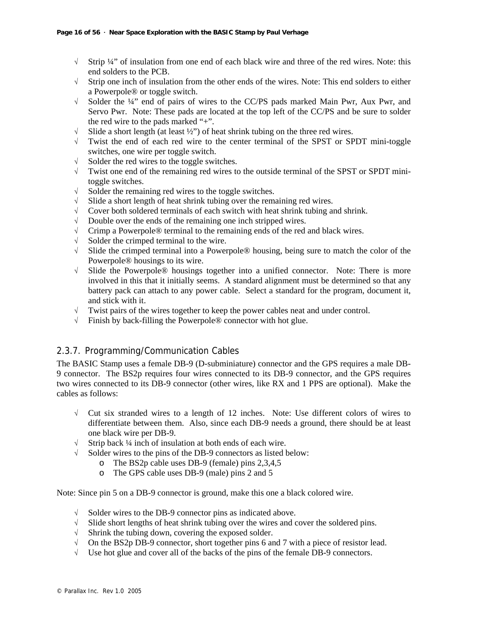- √ Strip ¼" of insulation from one end of each black wire and three of the red wires. Note: this end solders to the PCB.
- √ Strip one inch of insulation from the other ends of the wires. Note: This end solders to either a Powerpole® or toggle switch.
- √ Solder the ¼" end of pairs of wires to the CC/PS pads marked Main Pwr, Aux Pwr, and Servo Pwr. Note: These pads are located at the top left of the CC/PS and be sure to solder the red wire to the pads marked "+".
- $\sqrt{\phantom{a}}$  Slide a short length (at least  $\frac{1}{2}$ ) of heat shrink tubing on the three red wires.
- √ Twist the end of each red wire to the center terminal of the SPST or SPDT mini-toggle switches, one wire per toggle switch.
- √ Solder the red wires to the toggle switches.
- √ Twist one end of the remaining red wires to the outside terminal of the SPST or SPDT minitoggle switches.
- √ Solder the remaining red wires to the toggle switches.
- √ Slide a short length of heat shrink tubing over the remaining red wires.
- $\sqrt{\phantom{a}}$  Cover both soldered terminals of each switch with heat shrink tubing and shrink.
- √ Double over the ends of the remaining one inch stripped wires.
- $\sqrt{\phantom{a}}$  Crimp a Powerpole® terminal to the remaining ends of the red and black wires.
- √ Solder the crimped terminal to the wire.
- √ Slide the crimped terminal into a Powerpole® housing, being sure to match the color of the Powerpole® housings to its wire.
- √ Slide the Powerpole® housings together into a unified connector. Note: There is more involved in this that it initially seems. A standard alignment must be determined so that any battery pack can attach to any power cable. Select a standard for the program, document it, and stick with it.
- √ Twist pairs of the wires together to keep the power cables neat and under control.
- √ Finish by back-filling the Powerpole® connector with hot glue.

# 2.3.7. Programming/Communication Cables

The BASIC Stamp uses a female DB-9 (D-subminiature) connector and the GPS requires a male DB-9 connector. The BS2p requires four wires connected to its DB-9 connector, and the GPS requires two wires connected to its DB-9 connector (other wires, like RX and 1 PPS are optional). Make the cables as follows:

- $\sqrt{\phantom{a}}$  Cut six stranded wires to a length of 12 inches. Note: Use different colors of wires to differentiate between them. Also, since each DB-9 needs a ground, there should be at least one black wire per DB-9.
- √ Strip back ¼ inch of insulation at both ends of each wire.
- √ Solder wires to the pins of the DB-9 connectors as listed below:
	- o The BS2p cable uses DB-9 (female) pins 2,3,4,5
	- o The GPS cable uses DB-9 (male) pins 2 and 5

Note: Since pin 5 on a DB-9 connector is ground, make this one a black colored wire.

- $\sqrt{\phantom{a}}$  Solder wires to the DB-9 connector pins as indicated above.
- √ Slide short lengths of heat shrink tubing over the wires and cover the soldered pins.
- √ Shrink the tubing down, covering the exposed solder.
- $\sqrt{\phantom{a}}$  On the BS2p DB-9 connector, short together pins 6 and 7 with a piece of resistor lead.
- √ Use hot glue and cover all of the backs of the pins of the female DB-9 connectors.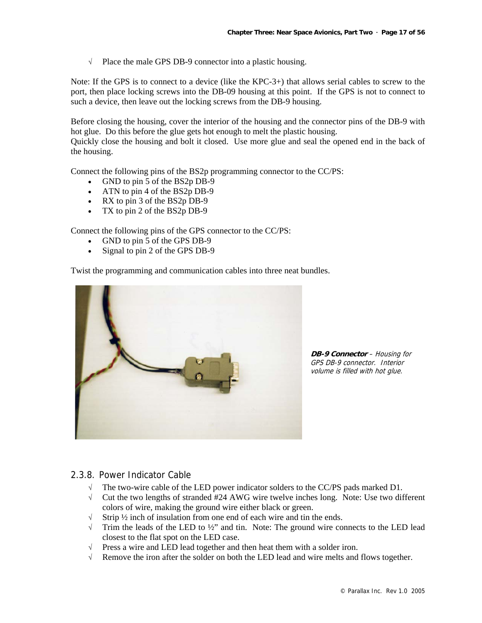√ Place the male GPS DB-9 connector into a plastic housing.

Note: If the GPS is to connect to a device (like the KPC-3+) that allows serial cables to screw to the port, then place locking screws into the DB-09 housing at this point. If the GPS is not to connect to such a device, then leave out the locking screws from the DB-9 housing.

Before closing the housing, cover the interior of the housing and the connector pins of the DB-9 with hot glue. Do this before the glue gets hot enough to melt the plastic housing.

Quickly close the housing and bolt it closed. Use more glue and seal the opened end in the back of the housing.

Connect the following pins of the BS2p programming connector to the CC/PS:

- GND to pin 5 of the BS2p DB-9
- ATN to pin 4 of the BS2p DB-9
- RX to pin 3 of the BS2p DB-9
- TX to pin 2 of the BS2p DB-9

Connect the following pins of the GPS connector to the CC/PS:

- GND to pin 5 of the GPS DB-9
- Signal to pin 2 of the GPS DB-9

Twist the programming and communication cables into three neat bundles.



**DB-9 Connector** – Housing for GPS DB-9 connector. Interior volume is filled with hot glue.

#### 2.3.8. Power Indicator Cable

- $\sqrt{\phantom{a}}$  The two-wire cable of the LED power indicator solders to the CC/PS pads marked D1.
- √ Cut the two lengths of stranded #24 AWG wire twelve inches long. Note: Use two different colors of wire, making the ground wire either black or green.
- $\sqrt{\frac{1}{2}}$  Strip ½ inch of insulation from one end of each wire and tin the ends.
- $\sqrt{\phantom{a}}$  Trim the leads of the LED to  $\frac{1}{2}$  and tin. Note: The ground wire connects to the LED lead closest to the flat spot on the LED case.
- $\sqrt{\phantom{a}}$  Press a wire and LED lead together and then heat them with a solder iron.
- √ Remove the iron after the solder on both the LED lead and wire melts and flows together.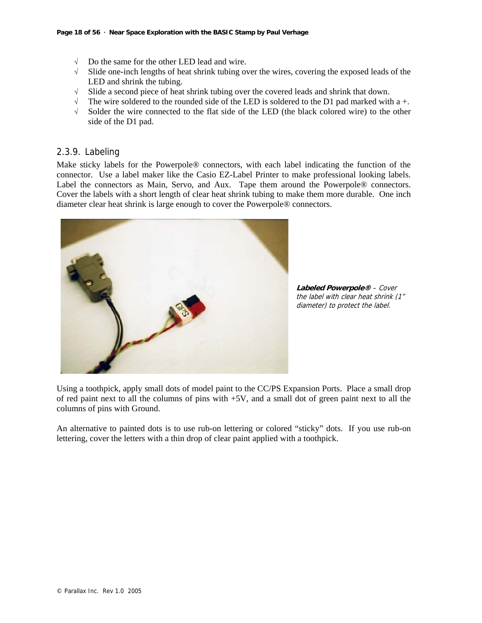- √ Do the same for the other LED lead and wire.
- √ Slide one-inch lengths of heat shrink tubing over the wires, covering the exposed leads of the LED and shrink the tubing.
- √ Slide a second piece of heat shrink tubing over the covered leads and shrink that down.
- $\sqrt{\phantom{a}}$  The wire soldered to the rounded side of the LED is soldered to the D1 pad marked with a +.
- √ Solder the wire connected to the flat side of the LED (the black colored wire) to the other side of the D1 pad.

#### 2.3.9. Labeling

Make sticky labels for the Powerpole® connectors, with each label indicating the function of the connector. Use a label maker like the Casio EZ-Label Printer to make professional looking labels. Label the connectors as Main, Servo, and Aux. Tape them around the Powerpole® connectors. Cover the labels with a short length of clear heat shrink tubing to make them more durable. One inch diameter clear heat shrink is large enough to cover the Powerpole® connectors.



**Labeled Powerpole®** – Cover the label with clear heat shrink (1" diameter) to protect the label.

Using a toothpick, apply small dots of model paint to the CC/PS Expansion Ports. Place a small drop of red paint next to all the columns of pins with +5V, and a small dot of green paint next to all the columns of pins with Ground.

An alternative to painted dots is to use rub-on lettering or colored "sticky" dots. If you use rub-on lettering, cover the letters with a thin drop of clear paint applied with a toothpick.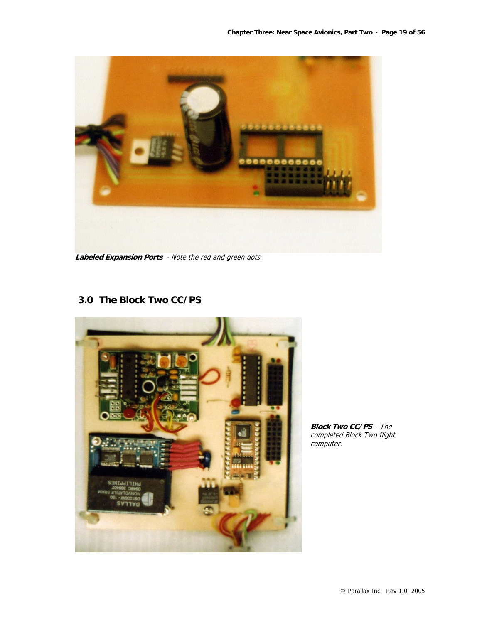

**Labeled Expansion Ports** - Note the red and green dots.

# **3.0 The Block Two CC/PS**



**Block Two CC/PS** – The completed Block Two flight computer.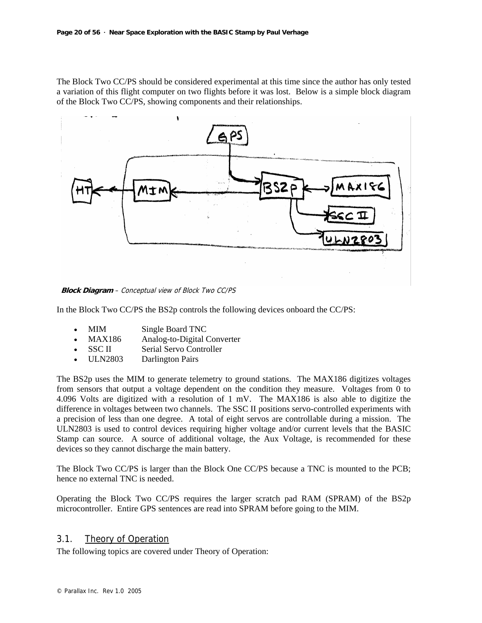The Block Two CC/PS should be considered experimental at this time since the author has only tested a variation of this flight computer on two flights before it was lost. Below is a simple block diagram of the Block Two CC/PS, showing components and their relationships.



**Block Diagram** – Conceptual view of Block Two CC/PS

In the Block Two CC/PS the BS2p controls the following devices onboard the CC/PS:

- MIM Single Board TNC
- MAX186 Analog-to-Digital Converter
- SSC II Serial Servo Controller
- ULN2803 Darlington Pairs

The BS2p uses the MIM to generate telemetry to ground stations. The MAX186 digitizes voltages from sensors that output a voltage dependent on the condition they measure. Voltages from 0 to 4.096 Volts are digitized with a resolution of 1 mV. The MAX186 is also able to digitize the difference in voltages between two channels. The SSC II positions servo-controlled experiments with a precision of less than one degree. A total of eight servos are controllable during a mission. The ULN2803 is used to control devices requiring higher voltage and/or current levels that the BASIC Stamp can source. A source of additional voltage, the Aux Voltage, is recommended for these devices so they cannot discharge the main battery.

The Block Two CC/PS is larger than the Block One CC/PS because a TNC is mounted to the PCB; hence no external TNC is needed.

Operating the Block Two CC/PS requires the larger scratch pad RAM (SPRAM) of the BS2p microcontroller. Entire GPS sentences are read into SPRAM before going to the MIM.

#### 3.1. Theory of Operation

The following topics are covered under Theory of Operation: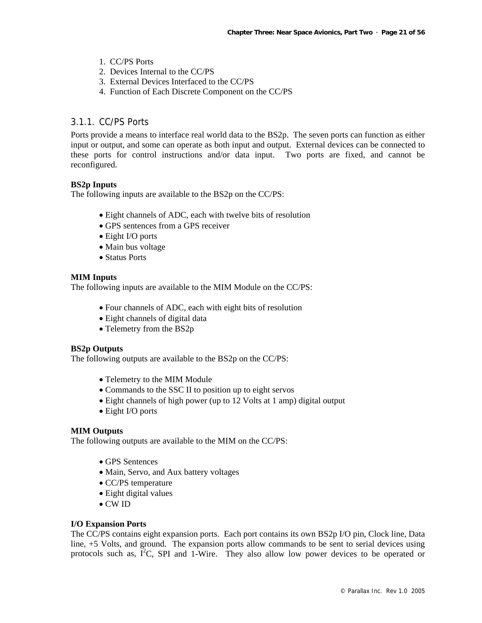- 1. CC/PS Ports
- 2. Devices Internal to the CC/PS
- 3. External Devices Interfaced to the CC/PS
- 4. Function of Each Discrete Component on the CC/PS

#### 3.1.1. CC/PS Ports

Ports provide a means to interface real world data to the BS2p. The seven ports can function as either input or output, and some can operate as both input and output. External devices can be connected to these ports for control instructions and/or data input. Two ports are fixed, and cannot be reconfigured.

#### **BS2p Inputs**

The following inputs are available to the BS2p on the CC/PS:

- Eight channels of ADC, each with twelve bits of resolution
- GPS sentences from a GPS receiver
- Eight I/O ports
- Main bus voltage
- Status Ports

#### **MIM Inputs**

The following inputs are available to the MIM Module on the CC/PS:

- Four channels of ADC, each with eight bits of resolution
- Eight channels of digital data
- Telemetry from the BS2p

#### **BS2p Outputs**

The following outputs are available to the BS2p on the CC/PS:

- Telemetry to the MIM Module
- Commands to the SSC II to position up to eight servos
- Eight channels of high power (up to 12 Volts at 1 amp) digital output
- Eight I/O ports

#### **MIM Outputs**

The following outputs are available to the MIM on the CC/PS:

- GPS Sentences
- Main, Servo, and Aux battery voltages
- CC/PS temperature
- Eight digital values
- CW ID

#### **I/O Expansion Ports**

The CC/PS contains eight expansion ports. Each port contains its own BS2p I/O pin, Clock line, Data line, +5 Volts, and ground. The expansion ports allow commands to be sent to serial devices using protocols such as,  $I^2C$ , SPI and 1-Wire. They also allow low power devices to be operated or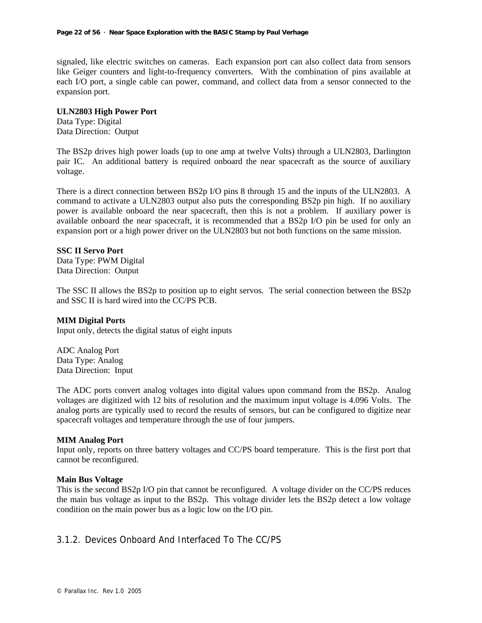signaled, like electric switches on cameras. Each expansion port can also collect data from sensors like Geiger counters and light-to-frequency converters. With the combination of pins available at each I/O port, a single cable can power, command, and collect data from a sensor connected to the expansion port.

#### **ULN2803 High Power Port**

Data Type: Digital Data Direction: Output

The BS2p drives high power loads (up to one amp at twelve Volts) through a ULN2803, Darlington pair IC. An additional battery is required onboard the near spacecraft as the source of auxiliary voltage.

There is a direct connection between BS2p I/O pins 8 through 15 and the inputs of the ULN2803. A command to activate a ULN2803 output also puts the corresponding BS2p pin high. If no auxiliary power is available onboard the near spacecraft, then this is not a problem. If auxiliary power is available onboard the near spacecraft, it is recommended that a BS2p I/O pin be used for only an expansion port or a high power driver on the ULN2803 but not both functions on the same mission.

#### **SSC II Servo Port**

Data Type: PWM Digital Data Direction: Output

The SSC II allows the BS2p to position up to eight servos. The serial connection between the BS2p and SSC II is hard wired into the CC/PS PCB.

#### **MIM Digital Ports**

Input only, detects the digital status of eight inputs

ADC Analog Port Data Type: Analog Data Direction: Input

The ADC ports convert analog voltages into digital values upon command from the BS2p. Analog voltages are digitized with 12 bits of resolution and the maximum input voltage is 4.096 Volts. The analog ports are typically used to record the results of sensors, but can be configured to digitize near spacecraft voltages and temperature through the use of four jumpers.

#### **MIM Analog Port**

Input only, reports on three battery voltages and CC/PS board temperature. This is the first port that cannot be reconfigured.

#### **Main Bus Voltage**

This is the second BS2p I/O pin that cannot be reconfigured. A voltage divider on the CC/PS reduces the main bus voltage as input to the BS2p. This voltage divider lets the BS2p detect a low voltage condition on the main power bus as a logic low on the I/O pin.

# 3.1.2. Devices Onboard And Interfaced To The CC/PS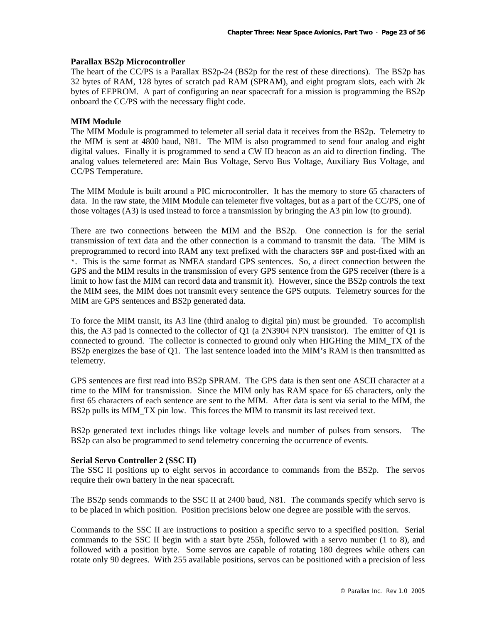#### **Parallax BS2p Microcontroller**

The heart of the CC/PS is a Parallax BS2p-24 (BS2p for the rest of these directions). The BS2p has 32 bytes of RAM, 128 bytes of scratch pad RAM (SPRAM), and eight program slots, each with 2k bytes of EEPROM. A part of configuring an near spacecraft for a mission is programming the BS2p onboard the CC/PS with the necessary flight code.

#### **MIM Module**

The MIM Module is programmed to telemeter all serial data it receives from the BS2p. Telemetry to the MIM is sent at 4800 baud, N81. The MIM is also programmed to send four analog and eight digital values. Finally it is programmed to send a CW ID beacon as an aid to direction finding. The analog values telemetered are: Main Bus Voltage, Servo Bus Voltage, Auxiliary Bus Voltage, and CC/PS Temperature.

The MIM Module is built around a PIC microcontroller. It has the memory to store 65 characters of data. In the raw state, the MIM Module can telemeter five voltages, but as a part of the CC/PS, one of those voltages (A3) is used instead to force a transmission by bringing the A3 pin low (to ground).

There are two connections between the MIM and the BS2p. One connection is for the serial transmission of text data and the other connection is a command to transmit the data. The MIM is preprogrammed to record into RAM any text prefixed with the characters \$GP and post-fixed with an \*. This is the same format as NMEA standard GPS sentences. So, a direct connection between the GPS and the MIM results in the transmission of every GPS sentence from the GPS receiver (there is a limit to how fast the MIM can record data and transmit it). However, since the BS2p controls the text the MIM sees, the MIM does not transmit every sentence the GPS outputs. Telemetry sources for the MIM are GPS sentences and BS2p generated data.

To force the MIM transit, its A3 line (third analog to digital pin) must be grounded. To accomplish this, the A3 pad is connected to the collector of Q1 (a 2N3904 NPN transistor). The emitter of Q1 is connected to ground. The collector is connected to ground only when HIGHing the MIM\_TX of the BS2p energizes the base of Q1. The last sentence loaded into the MIM's RAM is then transmitted as telemetry.

GPS sentences are first read into BS2p SPRAM. The GPS data is then sent one ASCII character at a time to the MIM for transmission. Since the MIM only has RAM space for 65 characters, only the first 65 characters of each sentence are sent to the MIM. After data is sent via serial to the MIM, the BS2p pulls its MIM\_TX pin low. This forces the MIM to transmit its last received text.

BS2p generated text includes things like voltage levels and number of pulses from sensors. The BS2p can also be programmed to send telemetry concerning the occurrence of events.

#### **Serial Servo Controller 2 (SSC II)**

The SSC II positions up to eight servos in accordance to commands from the BS2p. The servos require their own battery in the near spacecraft.

The BS2p sends commands to the SSC II at 2400 baud, N81. The commands specify which servo is to be placed in which position. Position precisions below one degree are possible with the servos.

Commands to the SSC II are instructions to position a specific servo to a specified position. Serial commands to the SSC II begin with a start byte 255h, followed with a servo number (1 to 8), and followed with a position byte. Some servos are capable of rotating 180 degrees while others can rotate only 90 degrees. With 255 available positions, servos can be positioned with a precision of less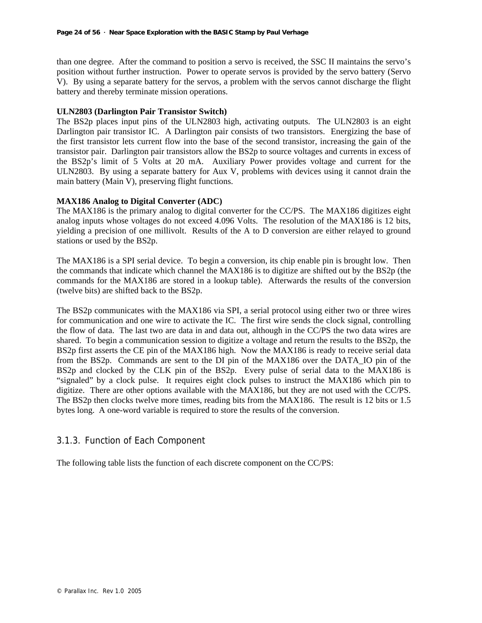than one degree. After the command to position a servo is received, the SSC II maintains the servo's position without further instruction. Power to operate servos is provided by the servo battery (Servo V). By using a separate battery for the servos, a problem with the servos cannot discharge the flight battery and thereby terminate mission operations.

#### **ULN2803 (Darlington Pair Transistor Switch)**

The BS2p places input pins of the ULN2803 high, activating outputs. The ULN2803 is an eight Darlington pair transistor IC. A Darlington pair consists of two transistors. Energizing the base of the first transistor lets current flow into the base of the second transistor, increasing the gain of the transistor pair. Darlington pair transistors allow the BS2p to source voltages and currents in excess of the BS2p's limit of 5 Volts at 20 mA. Auxiliary Power provides voltage and current for the ULN2803. By using a separate battery for Aux V, problems with devices using it cannot drain the main battery (Main V), preserving flight functions.

#### **MAX186 Analog to Digital Converter (ADC)**

The MAX186 is the primary analog to digital converter for the CC/PS. The MAX186 digitizes eight analog inputs whose voltages do not exceed 4.096 Volts. The resolution of the MAX186 is 12 bits, yielding a precision of one millivolt. Results of the A to D conversion are either relayed to ground stations or used by the BS2p.

The MAX186 is a SPI serial device. To begin a conversion, its chip enable pin is brought low. Then the commands that indicate which channel the MAX186 is to digitize are shifted out by the BS2p (the commands for the MAX186 are stored in a lookup table). Afterwards the results of the conversion (twelve bits) are shifted back to the BS2p.

The BS2p communicates with the MAX186 via SPI, a serial protocol using either two or three wires for communication and one wire to activate the IC. The first wire sends the clock signal, controlling the flow of data. The last two are data in and data out, although in the CC/PS the two data wires are shared. To begin a communication session to digitize a voltage and return the results to the BS2p, the BS2p first asserts the CE pin of the MAX186 high. Now the MAX186 is ready to receive serial data from the BS2p. Commands are sent to the DI pin of the MAX186 over the DATA\_IO pin of the BS2p and clocked by the CLK pin of the BS2p. Every pulse of serial data to the MAX186 is "signaled" by a clock pulse. It requires eight clock pulses to instruct the MAX186 which pin to digitize. There are other options available with the MAX186, but they are not used with the CC/PS. The BS2p then clocks twelve more times, reading bits from the MAX186. The result is 12 bits or 1.5 bytes long. A one-word variable is required to store the results of the conversion.

# 3.1.3. Function of Each Component

The following table lists the function of each discrete component on the CC/PS: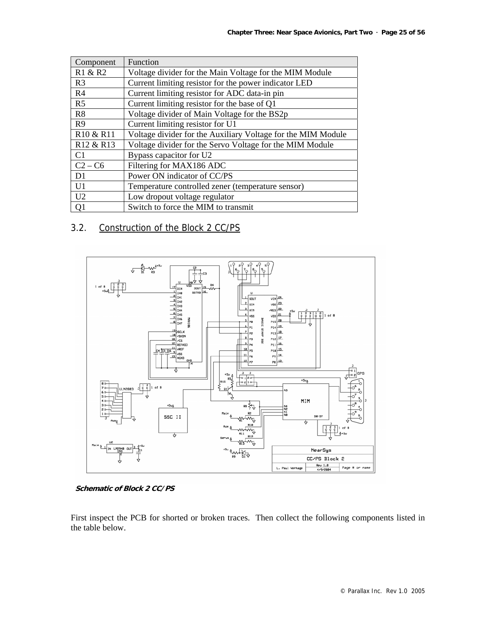| Component                         | Function                                                     |
|-----------------------------------|--------------------------------------------------------------|
| R1 & R2                           | Voltage divider for the Main Voltage for the MIM Module      |
| R <sub>3</sub>                    | Current limiting resistor for the power indicator LED        |
| R <sub>4</sub>                    | Current limiting resistor for ADC data-in pin                |
| R <sub>5</sub>                    | Current limiting resistor for the base of Q1                 |
| R8                                | Voltage divider of Main Voltage for the BS2p                 |
| R9                                | Current limiting resistor for U1                             |
| R <sub>10</sub> & R <sub>11</sub> | Voltage divider for the Auxiliary Voltage for the MIM Module |
| R <sub>12</sub> & R <sub>13</sub> | Voltage divider for the Servo Voltage for the MIM Module     |
| C1                                | Bypass capacitor for U2                                      |
| $C2 - C6$                         | Filtering for MAX186 ADC                                     |
| D1                                | Power ON indicator of CC/PS                                  |
| U <sub>1</sub>                    | Temperature controlled zener (temperature sensor)            |
| U2                                | Low dropout voltage regulator                                |
| Q1                                | Switch to force the MIM to transmit                          |

# 3.2. Construction of the Block 2 CC/PS



**Schematic of Block 2 CC/PS**

First inspect the PCB for shorted or broken traces. Then collect the following components listed in the table below.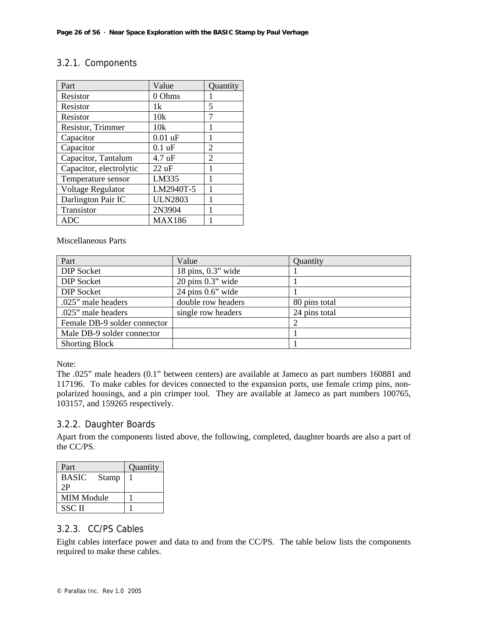# 3.2.1. Components

| Part                    | Value           | Quantity |
|-------------------------|-----------------|----------|
| Resistor                | 0 Ohms          |          |
| Resistor                | 1k              | 5        |
| Resistor                | 10k             | 7        |
| Resistor, Trimmer       | 10k             |          |
| Capacitor               | $0.01$ uF       | 1        |
| Capacitor               | $0.1$ uF        | 2        |
| Capacitor, Tantalum     | 4.7 uF          | 2        |
| Capacitor, electrolytic | $22 \text{ uF}$ | 1        |
| Temperature sensor      | LM335           | 1        |
| Voltage Regulator       | LM2940T-5       |          |
| Darlington Pair IC      | <b>ULN2803</b>  | 1        |
| Transistor              | 2N3904          | 1        |
| ADC                     | MAX186          |          |

Miscellaneous Parts

| Part                         | Value                                | Quantity      |
|------------------------------|--------------------------------------|---------------|
| <b>DIP Socket</b>            | 18 pins, $0.3$ " wide                |               |
| <b>DIP</b> Socket            | $20 \text{ pins } 0.3$ " wide        |               |
| <b>DIP Socket</b>            | $24 \text{ pins } 0.6" \text{ wide}$ |               |
| .025" male headers           | double row headers                   | 80 pins total |
| .025" male headers           | single row headers                   | 24 pins total |
| Female DB-9 solder connector |                                      |               |
| Male DB-9 solder connector   |                                      |               |
| <b>Shorting Block</b>        |                                      |               |

Note:

The .025" male headers (0.1" between centers) are available at Jameco as part numbers 160881 and 117196. To make cables for devices connected to the expansion ports, use female crimp pins, nonpolarized housings, and a pin crimper tool. They are available at Jameco as part numbers 100765, 103157, and 159265 respectively.

# 3.2.2. Daughter Boards

Apart from the components listed above, the following, completed, daughter boards are also a part of the CC/PS.

| Part                         | Quantity |
|------------------------------|----------|
| <b>BASIC</b><br><b>Stamp</b> |          |
| 2P                           |          |
| <b>MIM Module</b>            |          |
| <b>SSCII</b>                 |          |

# 3.2.3. CC/PS Cables

Eight cables interface power and data to and from the CC/PS. The table below lists the components required to make these cables.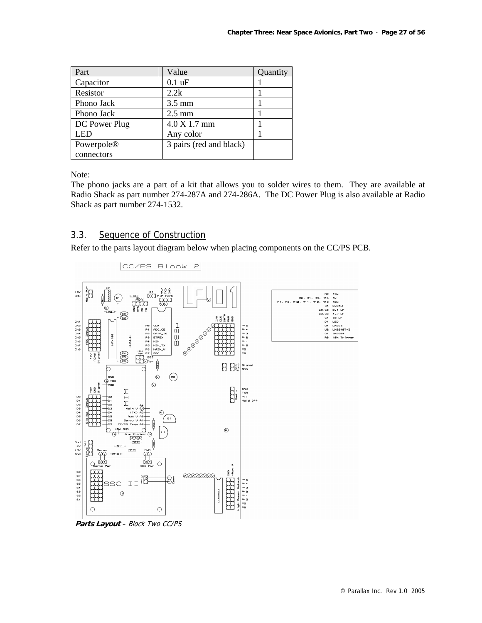| Part          | Value                   | Quantity |
|---------------|-------------------------|----------|
| Capacitor     | $0.1$ uF                |          |
| Resistor      | 2.2k                    |          |
| Phono Jack    | $3.5 \text{ mm}$        |          |
| Phono Jack    | $2.5 \text{ mm}$        |          |
| DC Power Plug | 4.0 X 1.7 mm            |          |
| LED           | Any color               |          |
| Powerpole®    | 3 pairs (red and black) |          |
| connectors    |                         |          |

Note:

The phono jacks are a part of a kit that allows you to solder wires to them. They are available at Radio Shack as part number 274-287A and 274-286A. The DC Power Plug is also available at Radio Shack as part number 274-1532.

# 3.3. Sequence of Construction

Refer to the parts layout diagram below when placing components on the CC/PS PCB.



 $|CC/PSB|$ lock 2

**Parts Layout** – Block Two CC/PS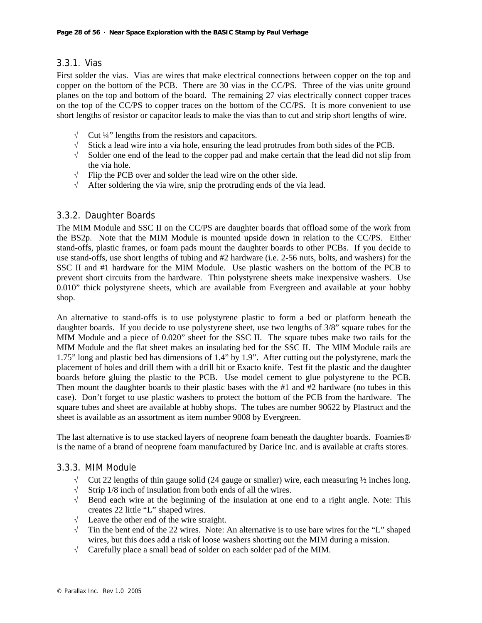# 3.3.1. Vias

First solder the vias. Vias are wires that make electrical connections between copper on the top and copper on the bottom of the PCB. There are 30 vias in the CC/PS. Three of the vias unite ground planes on the top and bottom of the board. The remaining 27 vias electrically connect copper traces on the top of the CC/PS to copper traces on the bottom of the CC/PS. It is more convenient to use short lengths of resistor or capacitor leads to make the vias than to cut and strip short lengths of wire.

- $\sqrt{\phantom{a}}$  Cut ¼" lengths from the resistors and capacitors.
- $\sqrt{\phantom{a}}$  Stick a lead wire into a via hole, ensuring the lead protrudes from both sides of the PCB.
- √ Solder one end of the lead to the copper pad and make certain that the lead did not slip from the via hole.
- √ Flip the PCB over and solder the lead wire on the other side.
- √ After soldering the via wire, snip the protruding ends of the via lead.

# 3.3.2. Daughter Boards

The MIM Module and SSC II on the CC/PS are daughter boards that offload some of the work from the BS2p. Note that the MIM Module is mounted upside down in relation to the CC/PS. Either stand-offs, plastic frames, or foam pads mount the daughter boards to other PCBs. If you decide to use stand-offs, use short lengths of tubing and #2 hardware (i.e. 2-56 nuts, bolts, and washers) for the SSC II and #1 hardware for the MIM Module. Use plastic washers on the bottom of the PCB to prevent short circuits from the hardware. Thin polystyrene sheets make inexpensive washers. Use 0.010" thick polystyrene sheets, which are available from Evergreen and available at your hobby shop.

An alternative to stand-offs is to use polystyrene plastic to form a bed or platform beneath the daughter boards. If you decide to use polystyrene sheet, use two lengths of 3/8" square tubes for the MIM Module and a piece of 0.020" sheet for the SSC II. The square tubes make two rails for the MIM Module and the flat sheet makes an insulating bed for the SSC II. The MIM Module rails are 1.75" long and plastic bed has dimensions of 1.4" by 1.9". After cutting out the polystyrene, mark the placement of holes and drill them with a drill bit or Exacto knife. Test fit the plastic and the daughter boards before gluing the plastic to the PCB. Use model cement to glue polystyrene to the PCB. Then mount the daughter boards to their plastic bases with the #1 and #2 hardware (no tubes in this case). Don't forget to use plastic washers to protect the bottom of the PCB from the hardware. The square tubes and sheet are available at hobby shops. The tubes are number 90622 by Plastruct and the sheet is available as an assortment as item number 9008 by Evergreen.

The last alternative is to use stacked layers of neoprene foam beneath the daughter boards. Foamies® is the name of a brand of neoprene foam manufactured by Darice Inc. and is available at crafts stores.

#### 3.3.3. MIM Module

- $\sqrt{\phantom{a}}$  Cut 22 lengths of thin gauge solid (24 gauge or smaller) wire, each measuring ½ inches long.<br> $\sqrt{\phantom{a}}$  Strip 1/8 inch of insulation from both ends of all the wires.
- Strip  $1/8$  inch of insulation from both ends of all the wires.
- √ Bend each wire at the beginning of the insulation at one end to a right angle. Note: This creates 22 little "L" shaped wires.
- √ Leave the other end of the wire straight.
- $\sqrt{\phantom{a}}$  Tin the bent end of the 22 wires. Note: An alternative is to use bare wires for the "L" shaped wires, but this does add a risk of loose washers shorting out the MIM during a mission.
- √ Carefully place a small bead of solder on each solder pad of the MIM.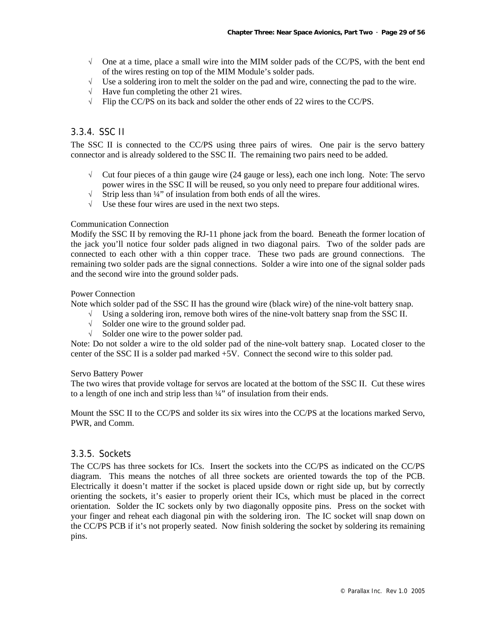- $\sqrt{\phantom{a}}$  One at a time, place a small wire into the MIM solder pads of the CC/PS, with the bent end of the wires resting on top of the MIM Module's solder pads.
- $\sqrt{\phantom{a}}$  Use a soldering iron to melt the solder on the pad and wire, connecting the pad to the wire.
- $\sqrt{\phantom{a}}$  Have fun completing the other 21 wires.
- √ Flip the CC/PS on its back and solder the other ends of 22 wires to the CC/PS.

#### 3.3.4. SSC II

The SSC II is connected to the CC/PS using three pairs of wires. One pair is the servo battery connector and is already soldered to the SSC II. The remaining two pairs need to be added.

- √ Cut four pieces of a thin gauge wire (24 gauge or less), each one inch long. Note: The servo power wires in the SSC II will be reused, so you only need to prepare four additional wires.
- √ Strip less than ¼" of insulation from both ends of all the wires.
- √ Use these four wires are used in the next two steps.

#### Communication Connection

Modify the SSC II by removing the RJ-11 phone jack from the board. Beneath the former location of the jack you'll notice four solder pads aligned in two diagonal pairs. Two of the solder pads are connected to each other with a thin copper trace. These two pads are ground connections. The remaining two solder pads are the signal connections. Solder a wire into one of the signal solder pads and the second wire into the ground solder pads.

#### Power Connection

Note which solder pad of the SSC II has the ground wire (black wire) of the nine-volt battery snap.

- √ Using a soldering iron, remove both wires of the nine-volt battery snap from the SSC II.
- √ Solder one wire to the ground solder pad.
- √ Solder one wire to the power solder pad.

Note: Do not solder a wire to the old solder pad of the nine-volt battery snap. Located closer to the center of the SSC II is a solder pad marked +5V. Connect the second wire to this solder pad.

#### Servo Battery Power

The two wires that provide voltage for servos are located at the bottom of the SSC II. Cut these wires to a length of one inch and strip less than  $\frac{1}{4}$ " of insulation from their ends.

Mount the SSC II to the CC/PS and solder its six wires into the CC/PS at the locations marked Servo, PWR, and Comm.

#### 3.3.5. Sockets

The CC/PS has three sockets for ICs. Insert the sockets into the CC/PS as indicated on the CC/PS diagram. This means the notches of all three sockets are oriented towards the top of the PCB. Electrically it doesn't matter if the socket is placed upside down or right side up, but by correctly orienting the sockets, it's easier to properly orient their ICs, which must be placed in the correct orientation. Solder the IC sockets only by two diagonally opposite pins. Press on the socket with your finger and reheat each diagonal pin with the soldering iron. The IC socket will snap down on the CC/PS PCB if it's not properly seated. Now finish soldering the socket by soldering its remaining pins.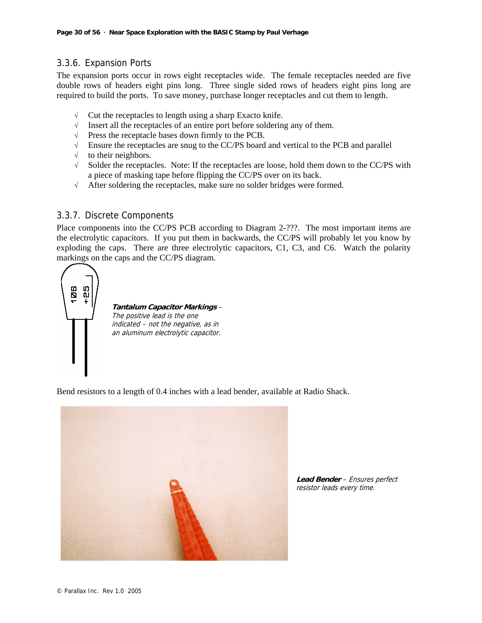# 3.3.6. Expansion Ports

The expansion ports occur in rows eight receptacles wide. The female receptacles needed are five double rows of headers eight pins long. Three single sided rows of headers eight pins long are required to build the ports. To save money, purchase longer receptacles and cut them to length.

- $\sqrt{\phantom{a}}$  Cut the receptacles to length using a sharp Exacto knife.
- √ Insert all the receptacles of an entire port before soldering any of them.
- $\sqrt{\phantom{a}}$  Press the receptacle bases down firmly to the PCB.
- √ Ensure the receptacles are snug to the CC/PS board and vertical to the PCB and parallel
- $\sqrt{\phantom{a}}$  to their neighbors.
- √ Solder the receptacles. Note: If the receptacles are loose, hold them down to the CC/PS with a piece of masking tape before flipping the CC/PS over on its back.
- √ After soldering the receptacles, make sure no solder bridges were formed.

# 3.3.7. Discrete Components

Place components into the CC/PS PCB according to Diagram 2-???. The most important items are the electrolytic capacitors. If you put them in backwards, the CC/PS will probably let you know by exploding the caps. There are three electrolytic capacitors, C1, C3, and C6. Watch the polarity markings on the caps and the CC/PS diagram.



**Tantalum Capacitor Markings** – The positive lead is the one indicated – not the negative, as in an aluminum electrolytic capacitor.

Bend resistors to a length of 0.4 inches with a lead bender, available at Radio Shack.



**Lead Bender** – Ensures perfect resistor leads every time.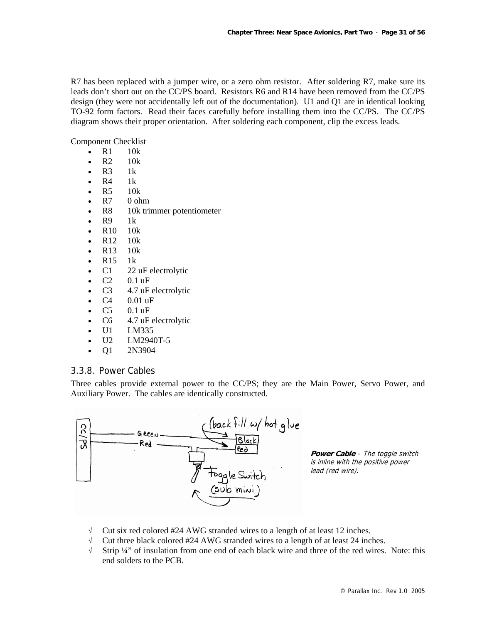R7 has been replaced with a jumper wire, or a zero ohm resistor. After soldering R7, make sure its leads don't short out on the CC/PS board. Resistors R6 and R14 have been removed from the CC/PS design (they were not accidentally left out of the documentation). U1 and Q1 are in identical looking TO-92 form factors. Read their faces carefully before installing them into the CC/PS. The CC/PS diagram shows their proper orientation. After soldering each component, clip the excess leads.

Component Checklist

- $\bullet$  R1 10k
- R2 10k
- $\cdot$  R<sub>3</sub> 1k
- $\bullet$  R4 1k
- R5 10k
- R7 0 ohm
- R8 10k trimmer potentiometer
- $\bullet$  R9 1k
- R10 10k
- R12 10k
- R13 10k
- R15 1k
- C1 22 uF electrolytic
- C2 0.1 uF
- C<sub>3</sub> 4.7 uF electrolytic
- $C4 \t 0.01 \text{ uF}$
- C5 0.1 uF
- C6 4.7 uF electrolytic
- U1 LM335
- U2 LM2940T-5
- Q1 2N3904

#### 3.3.8. Power Cables

Three cables provide external power to the CC/PS; they are the Main Power, Servo Power, and Auxiliary Power. The cables are identically constructed.



**Power Cable** – The toggle switch is inline with the positive power lead (red wire).

- √ Cut six red colored #24 AWG stranded wires to a length of at least 12 inches.
- √ Cut three black colored #24 AWG stranded wires to a length of at least 24 inches.
- √ Strip ¼" of insulation from one end of each black wire and three of the red wires. Note: this end solders to the PCB.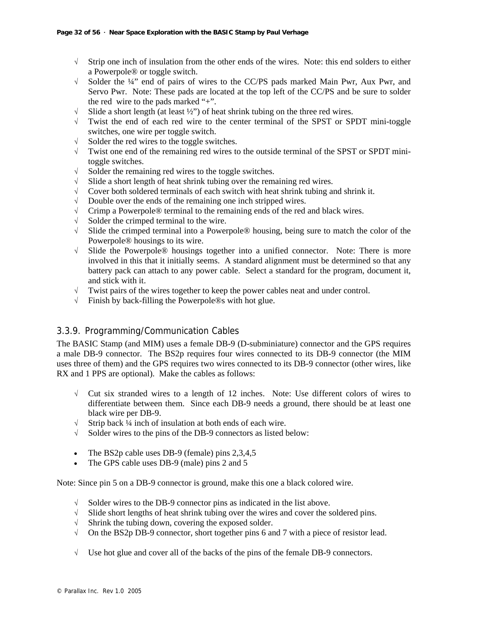- √ Strip one inch of insulation from the other ends of the wires. Note: this end solders to either a Powerpole® or toggle switch.
- √ Solder the ¼" end of pairs of wires to the CC/PS pads marked Main Pwr, Aux Pwr, and Servo Pwr. Note: These pads are located at the top left of the CC/PS and be sure to solder the red wire to the pads marked "+".
- $\sqrt{\phantom{a}}$  Slide a short length (at least  $\frac{1}{2}$ ) of heat shrink tubing on the three red wires.
- √ Twist the end of each red wire to the center terminal of the SPST or SPDT mini-toggle switches, one wire per toggle switch.
- √ Solder the red wires to the toggle switches.
- $\sqrt{\phantom{a}}$  Twist one end of the remaining red wires to the outside terminal of the SPST or SPDT minitoggle switches.
- √ Solder the remaining red wires to the toggle switches.
- √ Slide a short length of heat shrink tubing over the remaining red wires.
- √ Cover both soldered terminals of each switch with heat shrink tubing and shrink it.
- $\sqrt{\phantom{a}}$  Double over the ends of the remaining one inch stripped wires.
- $\sqrt{\phantom{a}}$  Crimp a Powerpole® terminal to the remaining ends of the red and black wires.
- $\sqrt{\phantom{a}}$  Solder the crimped terminal to the wire.
- √ Slide the crimped terminal into a Powerpole® housing, being sure to match the color of the Powerpole® housings to its wire.
- √ Slide the Powerpole® housings together into a unified connector. Note: There is more involved in this that it initially seems. A standard alignment must be determined so that any battery pack can attach to any power cable. Select a standard for the program, document it, and stick with it.
- √ Twist pairs of the wires together to keep the power cables neat and under control.
- √ Finish by back-filling the Powerpole®s with hot glue.

# 3.3.9. Programming/Communication Cables

The BASIC Stamp (and MIM) uses a female DB-9 (D-subminiature) connector and the GPS requires a male DB-9 connector. The BS2p requires four wires connected to its DB-9 connector (the MIM uses three of them) and the GPS requires two wires connected to its DB-9 connector (other wires, like RX and 1 PPS are optional). Make the cables as follows:

- √ Cut six stranded wires to a length of 12 inches. Note: Use different colors of wires to differentiate between them. Since each DB-9 needs a ground, there should be at least one black wire per DB-9.
- √ Strip back ¼ inch of insulation at both ends of each wire.
- √ Solder wires to the pins of the DB-9 connectors as listed below:
- The BS2p cable uses DB-9 (female) pins 2,3,4,5
- The GPS cable uses DB-9 (male) pins 2 and 5

Note: Since pin 5 on a DB-9 connector is ground, make this one a black colored wire.

- √ Solder wires to the DB-9 connector pins as indicated in the list above.
- $\sqrt{\phantom{a}}$  Slide short lengths of heat shrink tubing over the wires and cover the soldered pins.
- √ Shrink the tubing down, covering the exposed solder.
- $\sqrt{\phantom{a}}$  On the BS2p DB-9 connector, short together pins 6 and 7 with a piece of resistor lead.
- √ Use hot glue and cover all of the backs of the pins of the female DB-9 connectors.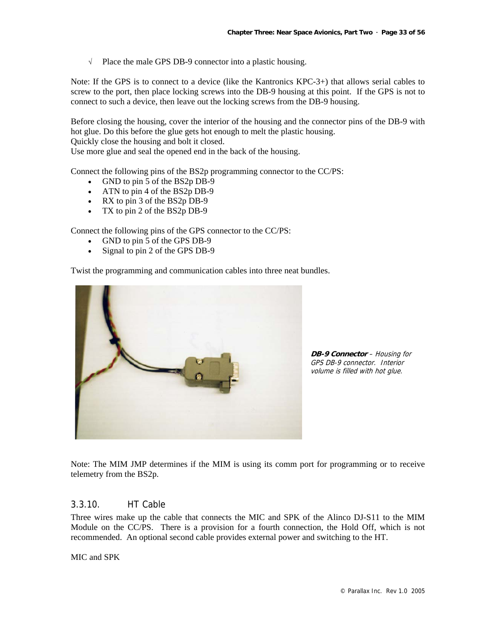√ Place the male GPS DB-9 connector into a plastic housing.

Note: If the GPS is to connect to a device (like the Kantronics KPC-3+) that allows serial cables to screw to the port, then place locking screws into the DB-9 housing at this point. If the GPS is not to connect to such a device, then leave out the locking screws from the DB-9 housing.

Before closing the housing, cover the interior of the housing and the connector pins of the DB-9 with hot glue. Do this before the glue gets hot enough to melt the plastic housing.

Quickly close the housing and bolt it closed.

Use more glue and seal the opened end in the back of the housing.

Connect the following pins of the BS2p programming connector to the CC/PS:

- GND to pin 5 of the BS2p DB-9
- ATN to pin 4 of the BS2p DB-9
- RX to pin 3 of the BS2p DB-9
- TX to pin 2 of the BS2p DB-9

Connect the following pins of the GPS connector to the CC/PS:

- GND to pin 5 of the GPS DB-9
- Signal to pin 2 of the GPS DB-9

Twist the programming and communication cables into three neat bundles.



**DB-9 Connector** – Housing for GPS DB-9 connector. Interior volume is filled with hot glue.

Note: The MIM JMP determines if the MIM is using its comm port for programming or to receive telemetry from the BS2p.

#### 3.3.10. HT Cable

Three wires make up the cable that connects the MIC and SPK of the Alinco DJ-S11 to the MIM Module on the CC/PS. There is a provision for a fourth connection, the Hold Off, which is not recommended. An optional second cable provides external power and switching to the HT.

MIC and SPK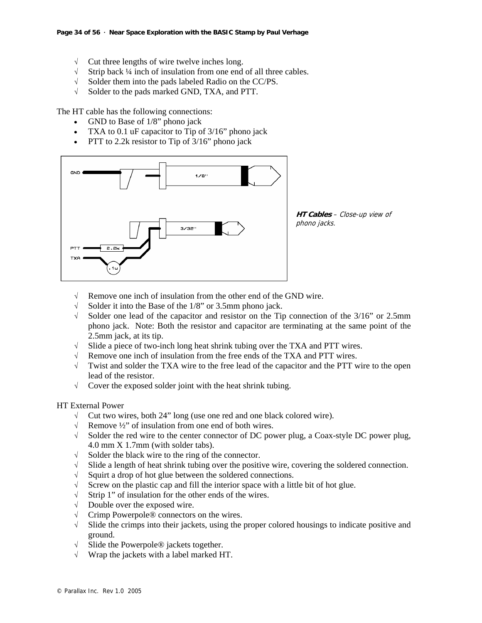- $\sqrt{\phantom{a}}$  Cut three lengths of wire twelve inches long.
- √ Strip back ¼ inch of insulation from one end of all three cables.
- √ Solder them into the pads labeled Radio on the CC/PS.
- √ Solder to the pads marked GND, TXA, and PTT.

The HT cable has the following connections:

- GND to Base of 1/8" phono jack
- TXA to 0.1 uF capacitor to Tip of 3/16" phono jack
- PTT to 2.2k resistor to Tip of  $3/16$ " phono jack



**HT Cables** – Close-up view of phono jacks.

- √ Remove one inch of insulation from the other end of the GND wire.
- √ Solder it into the Base of the 1/8" or 3.5mm phono jack.
- √ Solder one lead of the capacitor and resistor on the Tip connection of the 3/16" or 2.5mm phono jack. Note: Both the resistor and capacitor are terminating at the same point of the 2.5mm jack, at its tip.
- √ Slide a piece of two-inch long heat shrink tubing over the TXA and PTT wires.
- √ Remove one inch of insulation from the free ends of the TXA and PTT wires.
- √ Twist and solder the TXA wire to the free lead of the capacitor and the PTT wire to the open lead of the resistor.
- $\sqrt{\phantom{a}}$  Cover the exposed solder joint with the heat shrink tubing.

#### HT External Power

- √ Cut two wires, both 24" long (use one red and one black colored wire).
- √ Remove ½" of insulation from one end of both wires.
- √ Solder the red wire to the center connector of DC power plug, a Coax-style DC power plug, 4.0 mm X 1.7mm (with solder tabs).
- √ Solder the black wire to the ring of the connector.
- √ Slide a length of heat shrink tubing over the positive wire, covering the soldered connection.
- √ Squirt a drop of hot glue between the soldered connections.
- √ Screw on the plastic cap and fill the interior space with a little bit of hot glue.
- √ Strip 1" of insulation for the other ends of the wires.
- $\sqrt{\phantom{a}}$  Double over the exposed wire.
- √ Crimp Powerpole® connectors on the wires.
- √ Slide the crimps into their jackets, using the proper colored housings to indicate positive and ground.
- √ Slide the Powerpole® jackets together.
- Wrap the jackets with a label marked HT.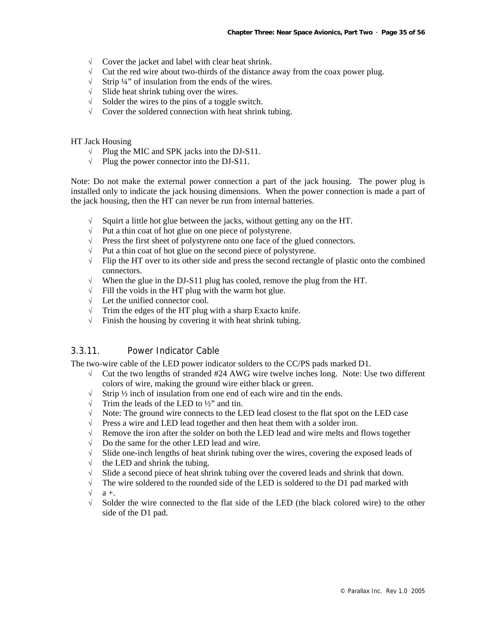- √ Cover the jacket and label with clear heat shrink.
- $\sqrt{\phantom{a}}$  Cut the red wire about two-thirds of the distance away from the coax power plug.
- $\sqrt{\phantom{a}}$  Strip ¼" of insulation from the ends of the wires.
- √ Slide heat shrink tubing over the wires.
- √ Solder the wires to the pins of a toggle switch.
- √ Cover the soldered connection with heat shrink tubing.

HT Jack Housing

- √ Plug the MIC and SPK jacks into the DJ-S11.
- $\sqrt{\phantom{a}}$  Plug the power connector into the DJ-S11.

Note: Do not make the external power connection a part of the jack housing. The power plug is installed only to indicate the jack housing dimensions. When the power connection is made a part of the jack housing, then the HT can never be run from internal batteries.

- √ Squirt a little hot glue between the jacks, without getting any on the HT.
- √ Put a thin coat of hot glue on one piece of polystyrene.
- √ Press the first sheet of polystyrene onto one face of the glued connectors.
- √ Put a thin coat of hot glue on the second piece of polystyrene.
- √ Flip the HT over to its other side and press the second rectangle of plastic onto the combined connectors.
- When the glue in the DJ-S11 plug has cooled, remove the plug from the HT.
- $\sqrt{\phantom{a}}$  Fill the voids in the HT plug with the warm hot glue.
- √ Let the unified connector cool.
- $\sqrt{\phantom{a}}$  Trim the edges of the HT plug with a sharp Exacto knife.
- √ Finish the housing by covering it with heat shrink tubing.

### 3.3.11. Power Indicator Cable

The two-wire cable of the LED power indicator solders to the CC/PS pads marked D1.

- √ Cut the two lengths of stranded #24 AWG wire twelve inches long. Note: Use two different colors of wire, making the ground wire either black or green.
- √ Strip ½ inch of insulation from one end of each wire and tin the ends.
- $\sqrt{\phantom{a}}$  Trim the leads of the LED to  $\frac{1}{2}$  and tin.
- $\sqrt{\phantom{a}}$  Note: The ground wire connects to the LED lead closest to the flat spot on the LED case
- $\sqrt{\phantom{a}}$  Press a wire and LED lead together and then heat them with a solder iron.
- √ Remove the iron after the solder on both the LED lead and wire melts and flows together
- √ Do the same for the other LED lead and wire.
- √ Slide one-inch lengths of heat shrink tubing over the wires, covering the exposed leads of
- $\sqrt{\phantom{a}}$  the LED and shrink the tubing.
- √ Slide a second piece of heat shrink tubing over the covered leads and shrink that down.
- $\sqrt{\phantom{a}}$  The wire soldered to the rounded side of the LED is soldered to the D1 pad marked with

 $\sqrt{a+}$ .

√ Solder the wire connected to the flat side of the LED (the black colored wire) to the other side of the D1 pad.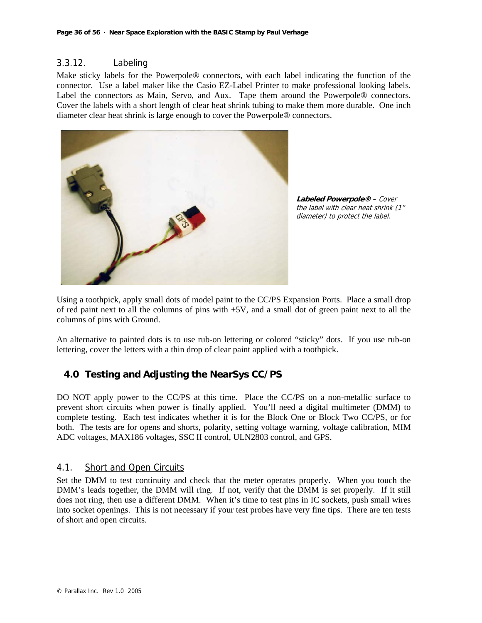# 3.3.12. Labeling

Make sticky labels for the Powerpole® connectors, with each label indicating the function of the connector. Use a label maker like the Casio EZ-Label Printer to make professional looking labels. Label the connectors as Main, Servo, and Aux. Tape them around the Powerpole® connectors. Cover the labels with a short length of clear heat shrink tubing to make them more durable. One inch diameter clear heat shrink is large enough to cover the Powerpole® connectors.



**Labeled Powerpole®** – Cover the label with clear heat shrink (1" diameter) to protect the label.

Using a toothpick, apply small dots of model paint to the CC/PS Expansion Ports. Place a small drop of red paint next to all the columns of pins with +5V, and a small dot of green paint next to all the columns of pins with Ground.

An alternative to painted dots is to use rub-on lettering or colored "sticky" dots. If you use rub-on lettering, cover the letters with a thin drop of clear paint applied with a toothpick.

# **4.0 Testing and Adjusting the NearSys CC/PS**

DO NOT apply power to the CC/PS at this time. Place the CC/PS on a non-metallic surface to prevent short circuits when power is finally applied. You'll need a digital multimeter (DMM) to complete testing. Each test indicates whether it is for the Block One or Block Two CC/PS, or for both. The tests are for opens and shorts, polarity, setting voltage warning, voltage calibration, MIM ADC voltages, MAX186 voltages, SSC II control, ULN2803 control, and GPS.

# 4.1. Short and Open Circuits

Set the DMM to test continuity and check that the meter operates properly. When you touch the DMM's leads together, the DMM will ring. If not, verify that the DMM is set properly. If it still does not ring, then use a different DMM. When it's time to test pins in IC sockets, push small wires into socket openings. This is not necessary if your test probes have very fine tips. There are ten tests of short and open circuits.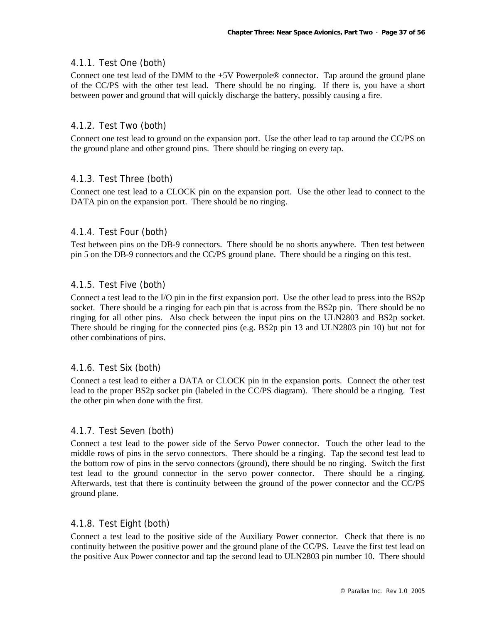# 4.1.1. Test One (both)

Connect one test lead of the DMM to the  $+5V$  Powerpole® connector. Tap around the ground plane of the CC/PS with the other test lead. There should be no ringing. If there is, you have a short between power and ground that will quickly discharge the battery, possibly causing a fire.

# 4.1.2. Test Two (both)

Connect one test lead to ground on the expansion port. Use the other lead to tap around the CC/PS on the ground plane and other ground pins. There should be ringing on every tap.

# 4.1.3. Test Three (both)

Connect one test lead to a CLOCK pin on the expansion port. Use the other lead to connect to the DATA pin on the expansion port. There should be no ringing.

#### 4.1.4. Test Four (both)

Test between pins on the DB-9 connectors. There should be no shorts anywhere. Then test between pin 5 on the DB-9 connectors and the CC/PS ground plane. There should be a ringing on this test.

# 4.1.5. Test Five (both)

Connect a test lead to the I/O pin in the first expansion port. Use the other lead to press into the BS2p socket. There should be a ringing for each pin that is across from the BS2p pin. There should be no ringing for all other pins. Also check between the input pins on the ULN2803 and BS2p socket. There should be ringing for the connected pins (e.g. BS2p pin 13 and ULN2803 pin 10) but not for other combinations of pins.

#### 4.1.6. Test Six (both)

Connect a test lead to either a DATA or CLOCK pin in the expansion ports. Connect the other test lead to the proper BS2p socket pin (labeled in the CC/PS diagram). There should be a ringing. Test the other pin when done with the first.

#### 4.1.7. Test Seven (both)

Connect a test lead to the power side of the Servo Power connector. Touch the other lead to the middle rows of pins in the servo connectors. There should be a ringing. Tap the second test lead to the bottom row of pins in the servo connectors (ground), there should be no ringing. Switch the first test lead to the ground connector in the servo power connector. There should be a ringing. Afterwards, test that there is continuity between the ground of the power connector and the CC/PS ground plane.

#### 4.1.8. Test Eight (both)

Connect a test lead to the positive side of the Auxiliary Power connector. Check that there is no continuity between the positive power and the ground plane of the CC/PS. Leave the first test lead on the positive Aux Power connector and tap the second lead to ULN2803 pin number 10. There should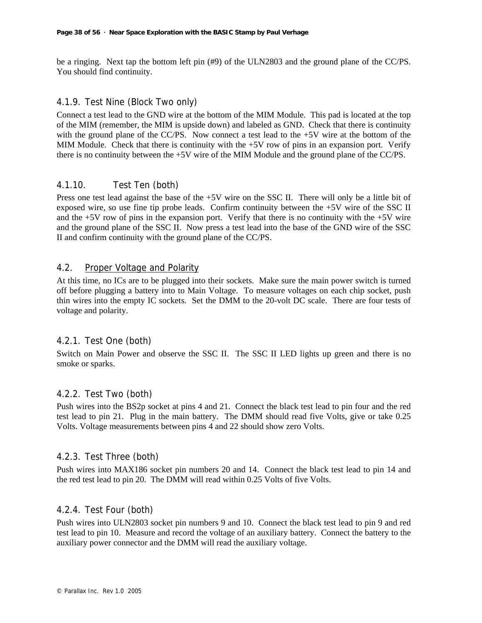be a ringing. Next tap the bottom left pin (#9) of the ULN2803 and the ground plane of the CC/PS. You should find continuity.

#### 4.1.9. Test Nine (Block Two only)

Connect a test lead to the GND wire at the bottom of the MIM Module. This pad is located at the top of the MIM (remember, the MIM is upside down) and labeled as GND. Check that there is continuity with the ground plane of the CC/PS. Now connect a test lead to the  $+5V$  wire at the bottom of the MIM Module. Check that there is continuity with the  $+5V$  row of pins in an expansion port. Verify there is no continuity between the +5V wire of the MIM Module and the ground plane of the CC/PS.

# 4.1.10. Test Ten (both)

Press one test lead against the base of the +5V wire on the SSC II. There will only be a little bit of exposed wire, so use fine tip probe leads. Confirm continuity between the +5V wire of the SSC II and the +5V row of pins in the expansion port. Verify that there is no continuity with the +5V wire and the ground plane of the SSC II. Now press a test lead into the base of the GND wire of the SSC II and confirm continuity with the ground plane of the CC/PS.

#### 4.2. Proper Voltage and Polarity

At this time, no ICs are to be plugged into their sockets. Make sure the main power switch is turned off before plugging a battery into to Main Voltage. To measure voltages on each chip socket, push thin wires into the empty IC sockets. Set the DMM to the 20-volt DC scale. There are four tests of voltage and polarity.

# 4.2.1. Test One (both)

Switch on Main Power and observe the SSC II. The SSC II LED lights up green and there is no smoke or sparks.

# 4.2.2. Test Two (both)

Push wires into the BS2p socket at pins 4 and 21. Connect the black test lead to pin four and the red test lead to pin 21. Plug in the main battery. The DMM should read five Volts, give or take 0.25 Volts. Voltage measurements between pins 4 and 22 should show zero Volts.

#### 4.2.3. Test Three (both)

Push wires into MAX186 socket pin numbers 20 and 14. Connect the black test lead to pin 14 and the red test lead to pin 20. The DMM will read within 0.25 Volts of five Volts.

# 4.2.4. Test Four (both)

Push wires into ULN2803 socket pin numbers 9 and 10. Connect the black test lead to pin 9 and red test lead to pin 10. Measure and record the voltage of an auxiliary battery. Connect the battery to the auxiliary power connector and the DMM will read the auxiliary voltage.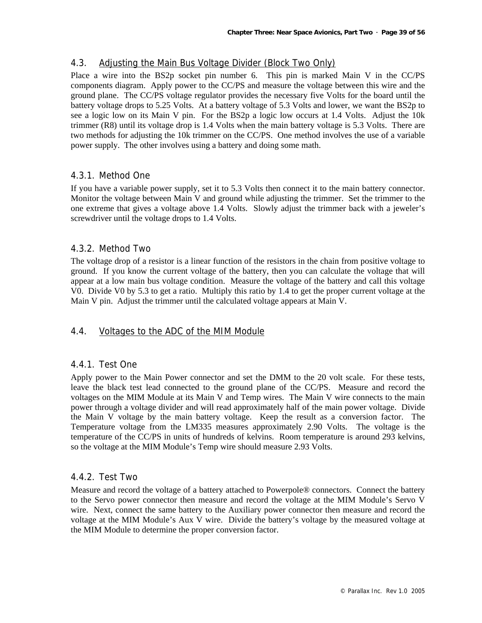# 4.3. Adjusting the Main Bus Voltage Divider (Block Two Only)

Place a wire into the BS2p socket pin number 6. This pin is marked Main V in the CC/PS components diagram. Apply power to the CC/PS and measure the voltage between this wire and the ground plane. The CC/PS voltage regulator provides the necessary five Volts for the board until the battery voltage drops to 5.25 Volts. At a battery voltage of 5.3 Volts and lower, we want the BS2p to see a logic low on its Main V pin. For the BS2p a logic low occurs at 1.4 Volts. Adjust the 10k trimmer (R8) until its voltage drop is 1.4 Volts when the main battery voltage is 5.3 Volts. There are two methods for adjusting the 10k trimmer on the CC/PS. One method involves the use of a variable power supply. The other involves using a battery and doing some math.

# 4.3.1. Method One

If you have a variable power supply, set it to 5.3 Volts then connect it to the main battery connector. Monitor the voltage between Main V and ground while adjusting the trimmer. Set the trimmer to the one extreme that gives a voltage above 1.4 Volts. Slowly adjust the trimmer back with a jeweler's screwdriver until the voltage drops to 1.4 Volts.

# 4.3.2. Method Two

The voltage drop of a resistor is a linear function of the resistors in the chain from positive voltage to ground. If you know the current voltage of the battery, then you can calculate the voltage that will appear at a low main bus voltage condition. Measure the voltage of the battery and call this voltage V0. Divide V0 by 5.3 to get a ratio. Multiply this ratio by 1.4 to get the proper current voltage at the Main V pin. Adjust the trimmer until the calculated voltage appears at Main V.

#### 4.4. Voltages to the ADC of the MIM Module

#### 4.4.1. Test One

Apply power to the Main Power connector and set the DMM to the 20 volt scale. For these tests, leave the black test lead connected to the ground plane of the CC/PS. Measure and record the voltages on the MIM Module at its Main V and Temp wires. The Main V wire connects to the main power through a voltage divider and will read approximately half of the main power voltage. Divide the Main V voltage by the main battery voltage. Keep the result as a conversion factor. The Temperature voltage from the LM335 measures approximately 2.90 Volts. The voltage is the temperature of the CC/PS in units of hundreds of kelvins. Room temperature is around 293 kelvins, so the voltage at the MIM Module's Temp wire should measure 2.93 Volts.

### 4.4.2. Test Two

Measure and record the voltage of a battery attached to Powerpole® connectors. Connect the battery to the Servo power connector then measure and record the voltage at the MIM Module's Servo V wire. Next, connect the same battery to the Auxiliary power connector then measure and record the voltage at the MIM Module's Aux V wire. Divide the battery's voltage by the measured voltage at the MIM Module to determine the proper conversion factor.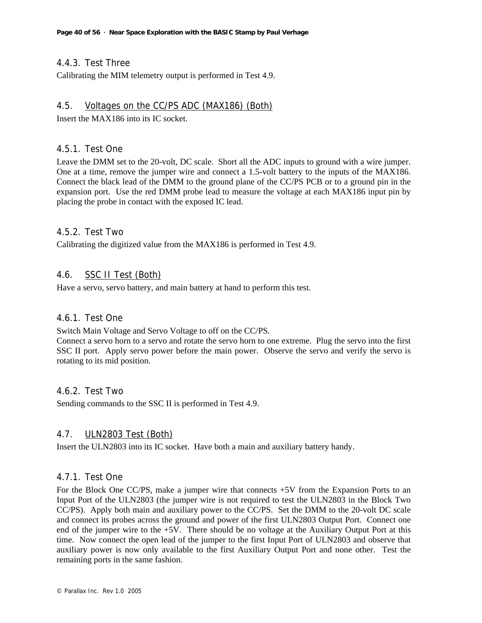# 4.4.3. Test Three

Calibrating the MIM telemetry output is performed in Test 4.9.

#### 4.5. Voltages on the CC/PS ADC (MAX186) (Both)

Insert the MAX186 into its IC socket.

#### 4.5.1. Test One

Leave the DMM set to the 20-volt, DC scale. Short all the ADC inputs to ground with a wire jumper. One at a time, remove the jumper wire and connect a 1.5-volt battery to the inputs of the MAX186. Connect the black lead of the DMM to the ground plane of the CC/PS PCB or to a ground pin in the expansion port. Use the red DMM probe lead to measure the voltage at each MAX186 input pin by placing the probe in contact with the exposed IC lead.

#### 4.5.2. Test Two

Calibrating the digitized value from the MAX186 is performed in Test 4.9.

# 4.6. SSC II Test (Both)

Have a servo, servo battery, and main battery at hand to perform this test.

#### 4.6.1. Test One

Switch Main Voltage and Servo Voltage to off on the CC/PS.

Connect a servo horn to a servo and rotate the servo horn to one extreme. Plug the servo into the first SSC II port. Apply servo power before the main power. Observe the servo and verify the servo is rotating to its mid position.

### 4.6.2. Test Two

Sending commands to the SSC II is performed in Test 4.9.

#### 4.7. ULN2803 Test (Both)

Insert the ULN2803 into its IC socket. Have both a main and auxiliary battery handy.

#### 4.7.1. Test One

For the Block One CC/PS, make a jumper wire that connects +5V from the Expansion Ports to an Input Port of the ULN2803 (the jumper wire is not required to test the ULN2803 in the Block Two CC/PS). Apply both main and auxiliary power to the CC/PS. Set the DMM to the 20-volt DC scale and connect its probes across the ground and power of the first ULN2803 Output Port. Connect one end of the jumper wire to the +5V. There should be no voltage at the Auxiliary Output Port at this time. Now connect the open lead of the jumper to the first Input Port of ULN2803 and observe that auxiliary power is now only available to the first Auxiliary Output Port and none other. Test the remaining ports in the same fashion.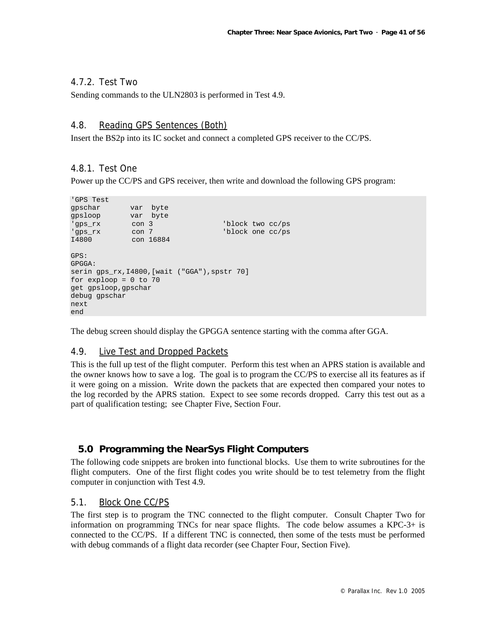# 4.7.2. Test Two

Sending commands to the ULN2803 is performed in Test 4.9.

# 4.8. Reading GPS Sentences (Both)

Insert the BS2p into its IC socket and connect a completed GPS receiver to the CC/PS.

# 4.8.1. Test One

Power up the CC/PS and GPS receiver, then write and download the following GPS program:

```
'GPS Test 
gpschar var byte<br>gpsloop var byte
            var byte
'gps_rx con 3 'block two cc/ps 
'gps_rx con 7 'block one cc/ps 
I4800 con 16884 
GPS: 
GPGGA: 
serin gps_rx, I4800, [wait ("GGA"), spstr 70]
for exploop = 0 to 70 
get gpsloop,gpschar 
debug gpschar 
next 
end
```
The debug screen should display the GPGGA sentence starting with the comma after GGA.

#### 4.9. Live Test and Dropped Packets

This is the full up test of the flight computer. Perform this test when an APRS station is available and the owner knows how to save a log. The goal is to program the CC/PS to exercise all its features as if it were going on a mission. Write down the packets that are expected then compared your notes to the log recorded by the APRS station. Expect to see some records dropped. Carry this test out as a part of qualification testing; see Chapter Five, Section Four.

# **5.0 Programming the NearSys Flight Computers**

The following code snippets are broken into functional blocks. Use them to write subroutines for the flight computers. One of the first flight codes you write should be to test telemetry from the flight computer in conjunction with Test 4.9.

# 5.1. Block One CC/PS

The first step is to program the TNC connected to the flight computer. Consult Chapter Two for information on programming TNCs for near space flights. The code below assumes a KPC-3+ is connected to the CC/PS. If a different TNC is connected, then some of the tests must be performed with debug commands of a flight data recorder (see Chapter Four, Section Five).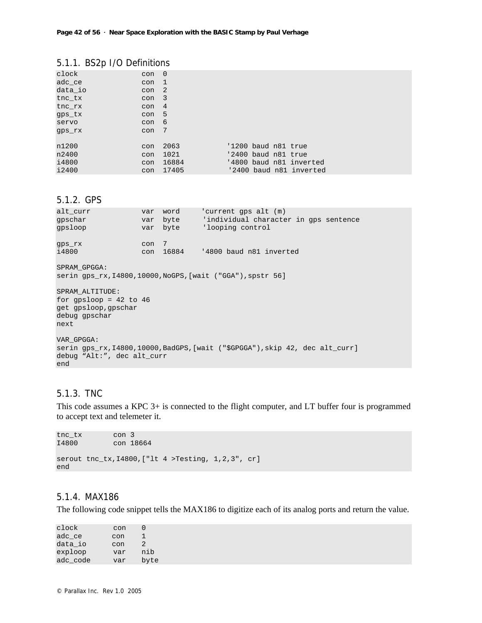# 5.1.1. BS2p I/O Definitions

| clock   | con              | - 0   |                     |  |                         |
|---------|------------------|-------|---------------------|--|-------------------------|
| adc_ce  | con              | -1    |                     |  |                         |
| data_io | con              | -2    |                     |  |                         |
| tnc tx  | con <sub>3</sub> |       |                     |  |                         |
| tnc rx  | con              | 4     |                     |  |                         |
| qps_tx  | con <sub>5</sub> |       |                     |  |                         |
| servo   | con              | - 6   |                     |  |                         |
| qps_rx  | con              | 7     |                     |  |                         |
|         |                  |       |                     |  |                         |
| n1200   | con              | 2063  | '1200 baud n81 true |  |                         |
| n2400   | con              | 1021  | '2400 baud n81 true |  |                         |
| i4800   | con              | 16884 |                     |  | '4800 baud n81 inverted |
| i2400   | con              | 17405 |                     |  | '2400 baud n81 inverted |

# 5.1.2. GPS

| alt curr<br>qpschar<br>qpsloop                                                                                                   |     | var word<br>var byte | 'current qps alt (m)<br>var byte condividual character in qps sentence<br>'looping control |  |  |
|----------------------------------------------------------------------------------------------------------------------------------|-----|----------------------|--------------------------------------------------------------------------------------------|--|--|
| qps_rx<br>i4800                                                                                                                  | con | 7                    | con 16884 '4800 baud n81 inverted                                                          |  |  |
| SPRAM GPGGA:<br>serin qps_rx, $14800, 10000$ , NoGPS, [wait ("GGA"), spstr 56]                                                   |     |                      |                                                                                            |  |  |
| SPRAM ALTITUDE:<br>for $qpsloop = 42$ to 46<br>get gpsloop, gpschar<br>debug gpschar<br>next                                     |     |                      |                                                                                            |  |  |
| VAR GPGGA:<br>serin qps rx, I4800, 10000, BadGPS, [wait ("\$GPGGA"), skip 42, dec alt curr]<br>debug "Alt:", dec alt curr<br>end |     |                      |                                                                                            |  |  |

# 5.1.3. TNC

This code assumes a KPC 3+ is connected to the flight computer, and LT buffer four is programmed to accept text and telemeter it.

```
tnc_tx con 3<br>14800 con 18
        con 18664
serout tnc_tx,I4800,["lt 4 >Testing, 1,2,3", cr] 
end
```
### 5.1.4. MAX186

The following code snippet tells the MAX186 to digitize each of its analog ports and return the value.

| clock    | con | 0             |
|----------|-----|---------------|
| adc ce   | con | ı             |
| data io  | con | $\mathcal{L}$ |
| exploop  | var | nib           |
| adc_code | var | byte          |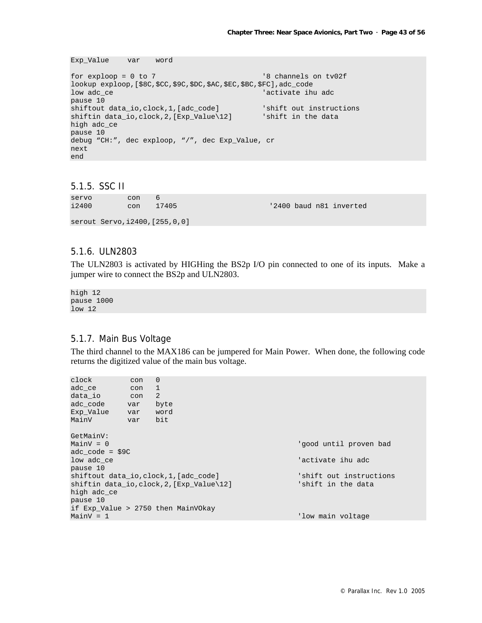```
Exp_Value var word
```

```
for exploop = 0 to 7 '8 channels on tv02f 
lookup exploop,[$8C,$CC,$9C,$DC,$AC,$EC,$BC,$FC],adc_code 
low adc_ce 'activate ihu adc
pause 10<br>shiftout data_io,clock,1,[adc_code]
shiftout data_io,clock,1,[adc_code] 'shift out instructions 
shiftin data_io,clock,2,[Exp_Value\12] 'shift in the data
high adc_ce 
pause 10 
debug "CH:", dec exploop, "/", dec Exp_Value, cr 
next 
end
```
#### 5.1.5. SSC II

| servo<br>i2400 | con<br>con                       | 6<br>17405 |  | '2400 baud n81 inverted |
|----------------|----------------------------------|------------|--|-------------------------|
|                | serout Servo, 12400, [255, 0, 0] |            |  |                         |

#### 5.1.6. ULN2803

The ULN2803 is activated by HIGHing the BS2p I/O pin connected to one of its inputs. Make a jumper wire to connect the BS2p and ULN2803.

high 12 pause 1000 low 12

# 5.1.7. Main Bus Voltage

The third channel to the MAX186 can be jumpered for Main Power. When done, the following code returns the digitized value of the main bus voltage.

| clock                                  | con | $\mathbf{0}$                       |                         |  |
|----------------------------------------|-----|------------------------------------|-------------------------|--|
| adc ce                                 | con | 1                                  |                         |  |
| data_io                                | con | 2                                  |                         |  |
| adc code                               | var | byte                               |                         |  |
| Exp Value                              | var | word                               |                         |  |
| MainV                                  | var | bit                                |                         |  |
|                                        |     |                                    |                         |  |
| GetMainV:                              |     |                                    |                         |  |
| MainV = 0                              |     |                                    | 'good until proven bad  |  |
| $adc\code{code = $9C}$                 |     |                                    |                         |  |
| low adc ce                             |     |                                    | 'activate ihu adc       |  |
| pause 10                               |     |                                    |                         |  |
| shiftout data io,clock,1,[adc code]    |     |                                    | 'shift out instructions |  |
| shiftin data_io,clock,2,[Exp_Value\12] |     |                                    | 'shift in the data      |  |
| high adc_ce                            |     |                                    |                         |  |
| pause 10                               |     |                                    |                         |  |
|                                        |     | if Exp_Value > 2750 then MainVOkay |                         |  |
| MainV = 1                              |     |                                    | 'low main voltage       |  |
|                                        |     |                                    |                         |  |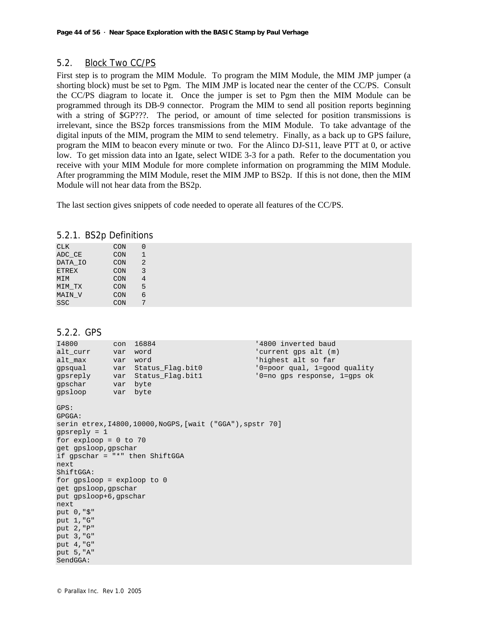# 5.2. Block Two CC/PS

First step is to program the MIM Module. To program the MIM Module, the MIM JMP jumper (a shorting block) must be set to Pgm. The MIM JMP is located near the center of the CC/PS. Consult the CC/PS diagram to locate it. Once the jumper is set to Pgm then the MIM Module can be programmed through its DB-9 connector. Program the MIM to send all position reports beginning with a string of \$GP???. The period, or amount of time selected for position transmissions is irrelevant, since the BS2p forces transmissions from the MIM Module. To take advantage of the digital inputs of the MIM, program the MIM to send telemetry. Finally, as a back up to GPS failure, program the MIM to beacon every minute or two. For the Alinco DJ-S11, leave PTT at 0, or active low. To get mission data into an Igate, select WIDE 3-3 for a path. Refer to the documentation you receive with your MIM Module for more complete information on programming the MIM Module. After programming the MIM Module, reset the MIM JMP to BS2p. If this is not done, then the MIM Module will not hear data from the BS2p.

The last section gives snippets of code needed to operate all features of the CC/PS.

| 5.2.1. BS2p Definitions |  |  |  |
|-------------------------|--|--|--|
|-------------------------|--|--|--|

| CON | O              |
|-----|----------------|
| CON | 1              |
| CON | $\mathfrak{D}$ |
| CON | 3              |
| CON | 4              |
| CON | 5              |
| CON | б              |
| CON | 7              |
|     |                |

#### 5.2.2. GPS

| I4800<br>alt curr<br>alt_max<br>qpsqual<br>qpsreply<br>qpschar                                                                                                                                                                                                                 | con<br>var<br>var<br>var<br>var<br>var | 16884<br>word<br>word<br>Status_Flag.bit0<br>Status_Flag.bit1<br>byte | '4800 inverted baud<br>'current qps alt (m)<br>'highest alt so far<br>'0=poor qual, 1=qood quality<br>'0=no qps response, 1=qps ok |
|--------------------------------------------------------------------------------------------------------------------------------------------------------------------------------------------------------------------------------------------------------------------------------|----------------------------------------|-----------------------------------------------------------------------|------------------------------------------------------------------------------------------------------------------------------------|
| qpsloop<br>GPS:<br>GPGGA:<br>qpsreply $= 1$<br>for exploop = $0$ to 70<br>get gpsloop, gpschar<br>if $qpschar = ""$ then ShiftGGA<br>next<br>ShiftGGA:<br>for $qpsloop = exploop$ to $0$<br>get gpsloop, gpschar<br>put qpsloop+6,qpschar<br>next<br>put 0, "\$"<br>put 1, "G" | var byte                               | serin etrex, $14800, 10000$ , NoGPS, [wait ("GGA"), spstr 70]         |                                                                                                                                    |
| put 2, "P"<br>put 3, "G"<br>put 4, "G"<br>put 5, "A"<br>SendGGA:                                                                                                                                                                                                               |                                        |                                                                       |                                                                                                                                    |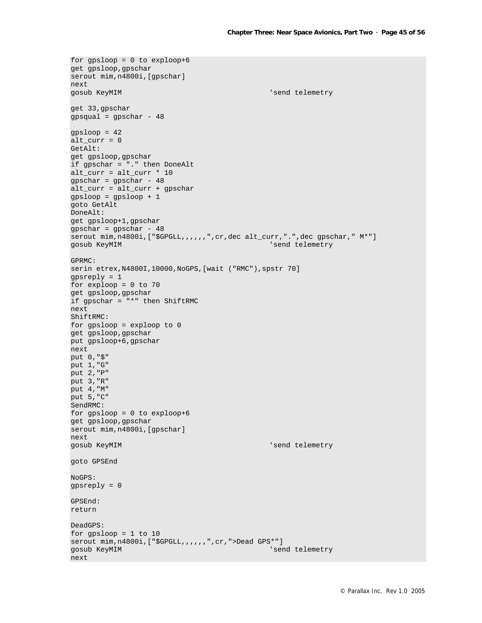```
for gpsloop = 0 to exploop+6 
get gpsloop,gpschar 
serout mim, n4800i, [gpschar]
next 
gosub KeyMIM 'send telemetry
get 33,gpschar 
qpsqual = gpschar - 48gpsloop = 42 
alt\_curr = 0GetAlt: 
get gpsloop,gpschar 
if gpschar = "." then DoneAlt 
alt_curr = alt\_curr * 10qpschar = qpschar - 48
alt_curr = alt_curr + gpschar 
gpsloop = gpsloop + 1 
goto GetAlt 
DoneAlt: 
get gpsloop+1,gpschar 
gpschar = gpschar - 48 
serout mim,n4800i,["$GPGLL,,,,,,",cr,dec alt_curr,".",dec gpschar," M*"]<br>gosub KeyMIM 'send telemetry
                                              'send telemetry
GPRMC: 
serin etrex,N4800I,10000,NoGPS,[wait ("RMC"),spstr 70] 
gpsreply = 1 
for exploop = 0 to 70 
get gpsloop,gpschar 
if gpschar = "*" then ShiftRMC 
next 
ShiftRMC: 
for gpsloop = exploop to 0 
get gpsloop,gpschar 
put gpsloop+6,gpschar 
next 
put 0,"$" 
put 1,"G" 
put 2,"P" 
put 3,"R" 
put 4,"M" 
put 5,"C" 
SendRMC: 
for qpsloop = 0 to exploop+6get gpsloop,gpschar 
serout mim,n4800i,[gpschar] 
next 
gosub KeyMIM 'send telemetry
goto GPSEnd 
NoGPS: 
gpsreply = 0 
GPSEnd: 
return 
DeadGPS: 
for gpsloop = 1 to 10 
serout mim,n4800i,["$GPGLL,,,,,,",cr,">Dead GPS*"] 
gosub KeyMIM 'send telemetry
next
```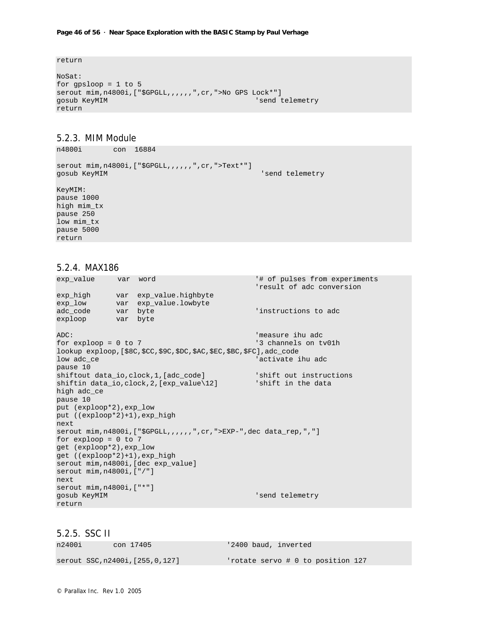#### **Page 46 of 56 · Near Space Exploration with the BASIC Stamp by Paul Verhage**

return

```
NoSat: 
for gpsloop = 1 to 5 
serout mim,n4800i,["$GPGLL,,,,,,",cr,">No GPS Lock*"] 
gosub KeyMIM 'send telemetry
return
```
#### 5.2.3. MIM Module

n4800i con 16884

```
serout mim,n4800i,["$GPGLL,,,,,,",cr,">Text*"] 
gosub KeyMIM 'send telemetry
KeyMIM: 
pause 1000 
high mim_tx 
pause 250 
low mim_tx 
pause 5000
```
#### 5.2.4. MAX186

return

```
exp_value var word '# of pulses from experiments 
                                                  'result of adc conversion 
exp_high var exp_value.highbyte 
exp_low var exp_value.lowbyte 
adc_code var byte 'instructions to adc 
exploop var byte 
ADC:<br>
for exploop = 0 to 7 <br>
<br>
The standard standard standard standard standard standard standard standard standard standard standard standard standard standard standard standard standard standard standard standard standar
for exploop = 0 to 7
lookup exploop,[$8C,$CC,$9C,$DC,$AC,$EC,$BC,$FC],adc_code 
low adc_ce 'activate ihu adc_ce 'activate ihu adc
pause 10 
shiftout data_io,clock,1,[adc_code] 'shift out instructions
shiftin data_io,clock,2,[exp_value\12] 'shift in the data
high adc_ce 
pause 10 
put (exploop*2),exp_low 
put ((exploop*2)+1),exp_high 
next 
serout mim,n4800i,["$GPGLL,,,,,,",cr,">EXP-",dec data_rep,","] 
for exploop = 0 to 7 
get (exploop*2),exp_low 
get ((exploop*2)+1),exp_high 
serout mim,n4800i,[dec exp_value] 
serout mim,n4800i,["/"] 
next 
serout mim,n4800i,["*"] 
gosub KeyMIM 'send telemetry
return
```
5.2.5. SSC II

| n2400i | con 17405                         | '2400 baud, inverted              |
|--------|-----------------------------------|-----------------------------------|
|        | serout SSC, n2400i, [255, 0, 127] | 'rotate servo # 0 to position 127 |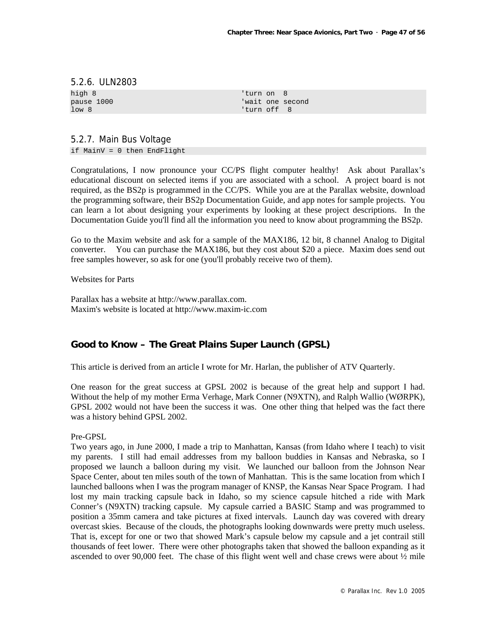#### 5.2.6. ULN2803

high 8 <sup>'turn</sup> on 8

pause 1000 'wait one second low 8  $'$  'turn off 8

#### 5.2.7. Main Bus Voltage

if MainV = 0 then EndFlight

Congratulations, I now pronounce your CC/PS flight computer healthy! Ask about Parallax's educational discount on selected items if you are associated with a school. A project board is not required, as the BS2p is programmed in the CC/PS. While you are at the Parallax website, download the programming software, their BS2p Documentation Guide, and app notes for sample projects. You can learn a lot about designing your experiments by looking at these project descriptions. In the Documentation Guide you'll find all the information you need to know about programming the BS2p.

Go to the Maxim website and ask for a sample of the MAX186, 12 bit, 8 channel Analog to Digital converter. You can purchase the MAX186, but they cost about \$20 a piece. Maxim does send out free samples however, so ask for one (you'll probably receive two of them).

Websites for Parts

Parallax has a website at http://www.parallax.com. Maxim's website is located at http://www.maxim-ic.com

# **Good to Know – The Great Plains Super Launch (GPSL)**

This article is derived from an article I wrote for Mr. Harlan, the publisher of ATV Quarterly.

One reason for the great success at GPSL 2002 is because of the great help and support I had. Without the help of my mother Erma Verhage, Mark Conner (N9XTN), and Ralph Wallio (WØRPK), GPSL 2002 would not have been the success it was. One other thing that helped was the fact there was a history behind GPSL 2002.

#### Pre-GPSL

Two years ago, in June 2000, I made a trip to Manhattan, Kansas (from Idaho where I teach) to visit my parents. I still had email addresses from my balloon buddies in Kansas and Nebraska, so I proposed we launch a balloon during my visit. We launched our balloon from the Johnson Near Space Center, about ten miles south of the town of Manhattan. This is the same location from which I launched balloons when I was the program manager of KNSP, the Kansas Near Space Program. I had lost my main tracking capsule back in Idaho, so my science capsule hitched a ride with Mark Conner's (N9XTN) tracking capsule. My capsule carried a BASIC Stamp and was programmed to position a 35mm camera and take pictures at fixed intervals. Launch day was covered with dreary overcast skies. Because of the clouds, the photographs looking downwards were pretty much useless. That is, except for one or two that showed Mark's capsule below my capsule and a jet contrail still thousands of feet lower. There were other photographs taken that showed the balloon expanding as it ascended to over 90,000 feet. The chase of this flight went well and chase crews were about  $\frac{1}{2}$  mile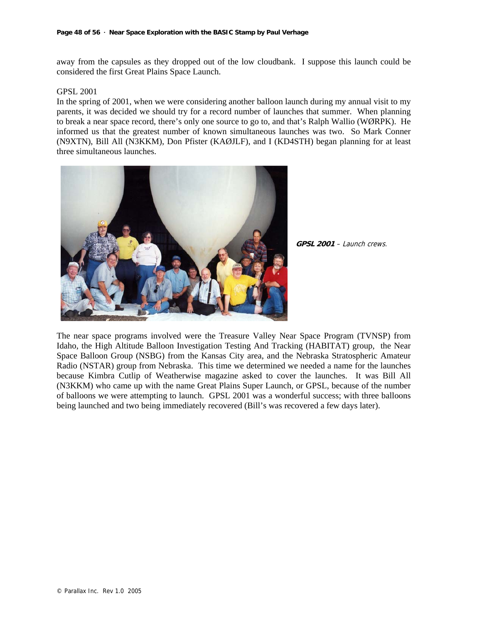away from the capsules as they dropped out of the low cloudbank. I suppose this launch could be considered the first Great Plains Space Launch.

#### GPSL 2001

In the spring of 2001, when we were considering another balloon launch during my annual visit to my parents, it was decided we should try for a record number of launches that summer. When planning to break a near space record, there's only one source to go to, and that's Ralph Wallio (WØRPK). He informed us that the greatest number of known simultaneous launches was two. So Mark Conner (N9XTN), Bill All (N3KKM), Don Pfister (KAØJLF), and I (KD4STH) began planning for at least three simultaneous launches.



**GPSL 2001** – Launch crews.

The near space programs involved were the Treasure Valley Near Space Program (TVNSP) from Idaho, the High Altitude Balloon Investigation Testing And Tracking (HABITAT) group, the Near Space Balloon Group (NSBG) from the Kansas City area, and the Nebraska Stratospheric Amateur Radio (NSTAR) group from Nebraska. This time we determined we needed a name for the launches because Kimbra Cutlip of Weatherwise magazine asked to cover the launches. It was Bill All (N3KKM) who came up with the name Great Plains Super Launch, or GPSL, because of the number of balloons we were attempting to launch. GPSL 2001 was a wonderful success; with three balloons being launched and two being immediately recovered (Bill's was recovered a few days later).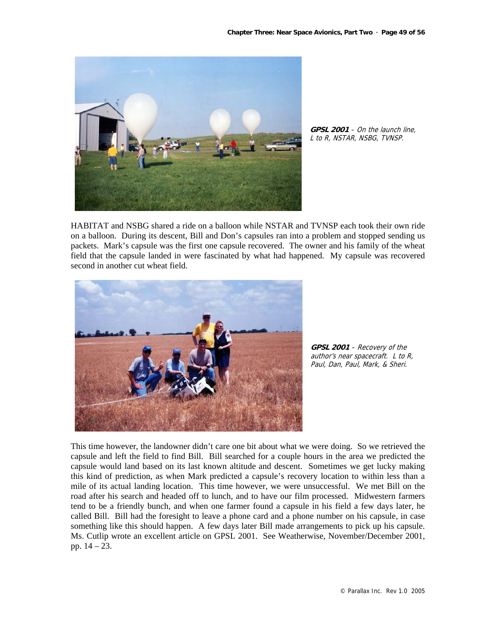

**GPSL 2001** – On the launch line, L to R, NSTAR, NSBG, TVNSP.

HABITAT and NSBG shared a ride on a balloon while NSTAR and TVNSP each took their own ride on a balloon. During its descent, Bill and Don's capsules ran into a problem and stopped sending us packets. Mark's capsule was the first one capsule recovered. The owner and his family of the wheat field that the capsule landed in were fascinated by what had happened. My capsule was recovered second in another cut wheat field.



**GPSL 2001** – Recovery of the author's near spacecraft. L to R, Paul, Dan, Paul, Mark, & Sheri.

This time however, the landowner didn't care one bit about what we were doing. So we retrieved the capsule and left the field to find Bill. Bill searched for a couple hours in the area we predicted the capsule would land based on its last known altitude and descent. Sometimes we get lucky making this kind of prediction, as when Mark predicted a capsule's recovery location to within less than a mile of its actual landing location. This time however, we were unsuccessful. We met Bill on the road after his search and headed off to lunch, and to have our film processed. Midwestern farmers tend to be a friendly bunch, and when one farmer found a capsule in his field a few days later, he called Bill. Bill had the foresight to leave a phone card and a phone number on his capsule, in case something like this should happen. A few days later Bill made arrangements to pick up his capsule. Ms. Cutlip wrote an excellent article on GPSL 2001. See Weatherwise, November/December 2001, pp. 14 – 23.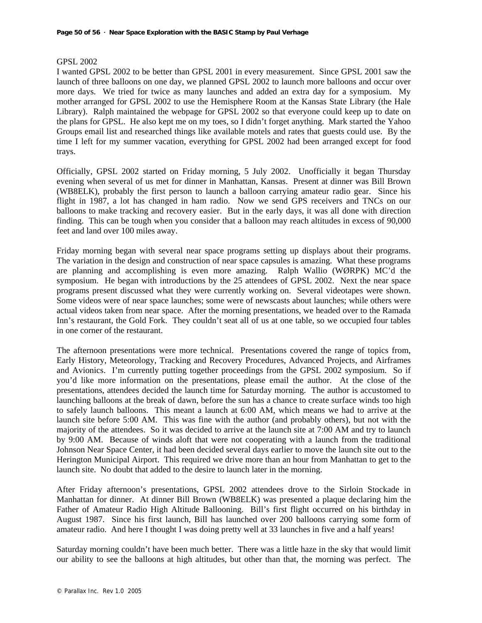#### GPSL 2002

I wanted GPSL 2002 to be better than GPSL 2001 in every measurement. Since GPSL 2001 saw the launch of three balloons on one day, we planned GPSL 2002 to launch more balloons and occur over more days. We tried for twice as many launches and added an extra day for a symposium. My mother arranged for GPSL 2002 to use the Hemisphere Room at the Kansas State Library (the Hale Library). Ralph maintained the webpage for GPSL 2002 so that everyone could keep up to date on the plans for GPSL. He also kept me on my toes, so I didn't forget anything. Mark started the Yahoo Groups email list and researched things like available motels and rates that guests could use. By the time I left for my summer vacation, everything for GPSL 2002 had been arranged except for food trays.

Officially, GPSL 2002 started on Friday morning, 5 July 2002. Unofficially it began Thursday evening when several of us met for dinner in Manhattan, Kansas. Present at dinner was Bill Brown (WB8ELK), probably the first person to launch a balloon carrying amateur radio gear. Since his flight in 1987, a lot has changed in ham radio. Now we send GPS receivers and TNCs on our balloons to make tracking and recovery easier. But in the early days, it was all done with direction finding. This can be tough when you consider that a balloon may reach altitudes in excess of 90,000 feet and land over 100 miles away.

Friday morning began with several near space programs setting up displays about their programs. The variation in the design and construction of near space capsules is amazing. What these programs are planning and accomplishing is even more amazing. Ralph Wallio (WØRPK) MC'd the symposium. He began with introductions by the 25 attendees of GPSL 2002. Next the near space programs present discussed what they were currently working on. Several videotapes were shown. Some videos were of near space launches; some were of newscasts about launches; while others were actual videos taken from near space. After the morning presentations, we headed over to the Ramada Inn's restaurant, the Gold Fork. They couldn't seat all of us at one table, so we occupied four tables in one corner of the restaurant.

The afternoon presentations were more technical. Presentations covered the range of topics from, Early History, Meteorology, Tracking and Recovery Procedures, Advanced Projects, and Airframes and Avionics. I'm currently putting together proceedings from the GPSL 2002 symposium. So if you'd like more information on the presentations, please email the author. At the close of the presentations, attendees decided the launch time for Saturday morning. The author is accustomed to launching balloons at the break of dawn, before the sun has a chance to create surface winds too high to safely launch balloons. This meant a launch at 6:00 AM, which means we had to arrive at the launch site before 5:00 AM. This was fine with the author (and probably others), but not with the majority of the attendees. So it was decided to arrive at the launch site at 7:00 AM and try to launch by 9:00 AM. Because of winds aloft that were not cooperating with a launch from the traditional Johnson Near Space Center, it had been decided several days earlier to move the launch site out to the Herington Municipal Airport. This required we drive more than an hour from Manhattan to get to the launch site. No doubt that added to the desire to launch later in the morning.

After Friday afternoon's presentations, GPSL 2002 attendees drove to the Sirloin Stockade in Manhattan for dinner. At dinner Bill Brown (WB8ELK) was presented a plaque declaring him the Father of Amateur Radio High Altitude Ballooning. Bill's first flight occurred on his birthday in August 1987. Since his first launch, Bill has launched over 200 balloons carrying some form of amateur radio. And here I thought I was doing pretty well at 33 launches in five and a half years!

Saturday morning couldn't have been much better. There was a little haze in the sky that would limit our ability to see the balloons at high altitudes, but other than that, the morning was perfect. The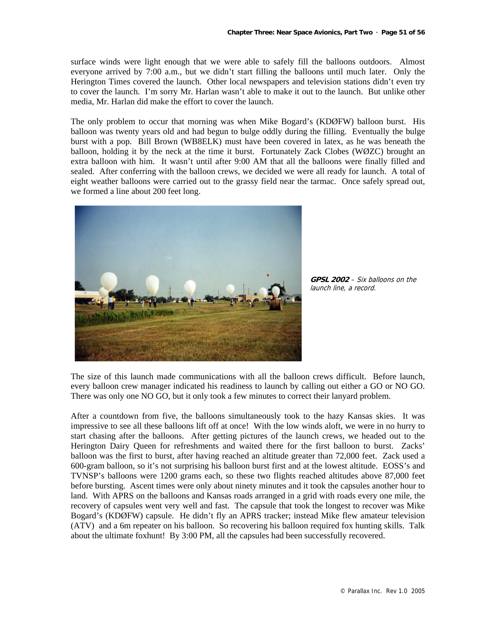surface winds were light enough that we were able to safely fill the balloons outdoors. Almost everyone arrived by 7:00 a.m., but we didn't start filling the balloons until much later. Only the Herington Times covered the launch. Other local newspapers and television stations didn't even try to cover the launch. I'm sorry Mr. Harlan wasn't able to make it out to the launch. But unlike other media, Mr. Harlan did make the effort to cover the launch.

The only problem to occur that morning was when Mike Bogard's (KDØFW) balloon burst. His balloon was twenty years old and had begun to bulge oddly during the filling. Eventually the bulge burst with a pop. Bill Brown (WB8ELK) must have been covered in latex, as he was beneath the balloon, holding it by the neck at the time it burst. Fortunately Zack Clobes (WØZC) brought an extra balloon with him. It wasn't until after 9:00 AM that all the balloons were finally filled and sealed. After conferring with the balloon crews, we decided we were all ready for launch. A total of eight weather balloons were carried out to the grassy field near the tarmac. Once safely spread out, we formed a line about 200 feet long.



**GPSL 2002** – Six balloons on the launch line, a record.

The size of this launch made communications with all the balloon crews difficult. Before launch, every balloon crew manager indicated his readiness to launch by calling out either a GO or NO GO. There was only one NO GO, but it only took a few minutes to correct their lanyard problem.

After a countdown from five, the balloons simultaneously took to the hazy Kansas skies. It was impressive to see all these balloons lift off at once! With the low winds aloft, we were in no hurry to start chasing after the balloons. After getting pictures of the launch crews, we headed out to the Herington Dairy Queen for refreshments and waited there for the first balloon to burst. Zacks' balloon was the first to burst, after having reached an altitude greater than 72,000 feet. Zack used a 600-gram balloon, so it's not surprising his balloon burst first and at the lowest altitude. EOSS's and TVNSP's balloons were 1200 grams each, so these two flights reached altitudes above 87,000 feet before bursting. Ascent times were only about ninety minutes and it took the capsules another hour to land. With APRS on the balloons and Kansas roads arranged in a grid with roads every one mile, the recovery of capsules went very well and fast. The capsule that took the longest to recover was Mike Bogard's (KDØFW) capsule. He didn't fly an APRS tracker; instead Mike flew amateur television (ATV) and a 6m repeater on his balloon. So recovering his balloon required fox hunting skills. Talk about the ultimate foxhunt! By 3:00 PM, all the capsules had been successfully recovered.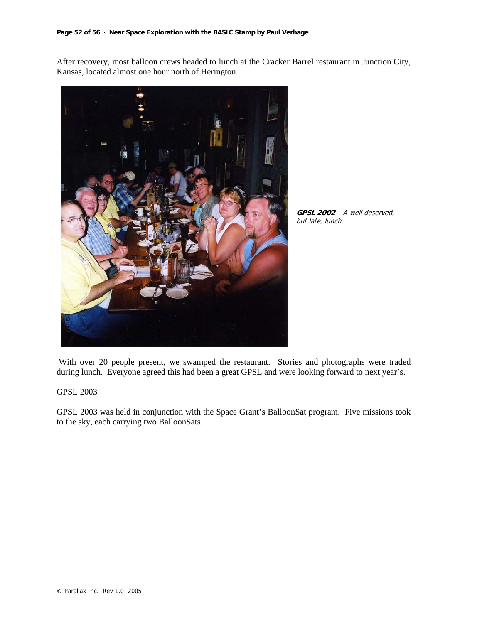After recovery, most balloon crews headed to lunch at the Cracker Barrel restaurant in Junction City, Kansas, located almost one hour north of Herington.



**GPSL 2002** – A well deserved, but late, lunch.

 With over 20 people present, we swamped the restaurant. Stories and photographs were traded during lunch. Everyone agreed this had been a great GPSL and were looking forward to next year's.

#### GPSL 2003

GPSL 2003 was held in conjunction with the Space Grant's BalloonSat program. Five missions took to the sky, each carrying two BalloonSats.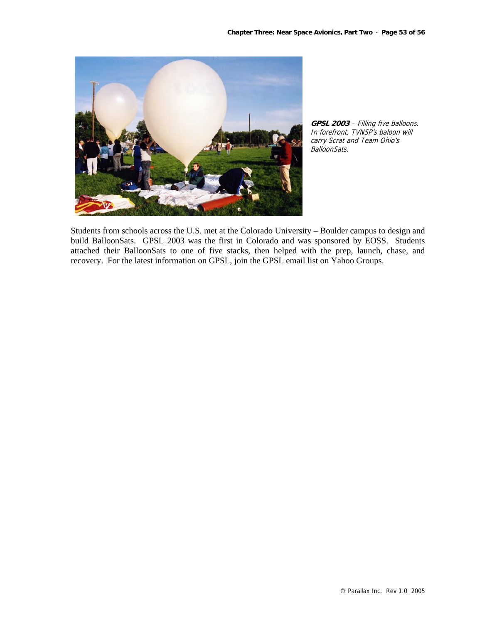

**GPSL 2003** – Filling five balloons. In forefront, TVNSP's baloon will carry Scrat and Team Ohio's BalloonSats.

Students from schools across the U.S. met at the Colorado University – Boulder campus to design and build BalloonSats. GPSL 2003 was the first in Colorado and was sponsored by EOSS. Students attached their BalloonSats to one of five stacks, then helped with the prep, launch, chase, and recovery. For the latest information on GPSL, join the GPSL email list on Yahoo Groups.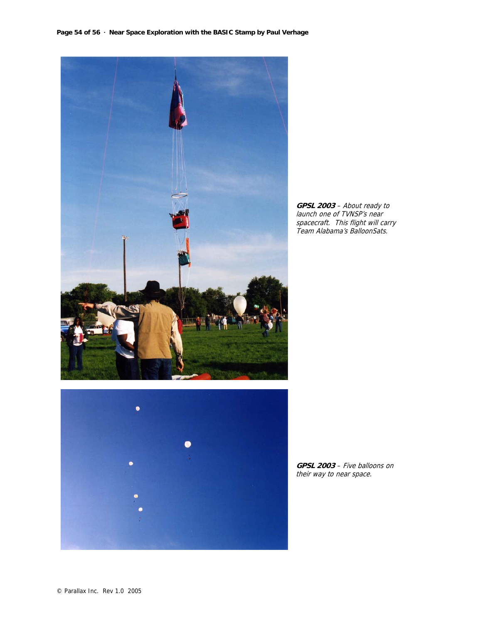

**GPSL 2003** – About ready to launch one of TVNSP's near spacecraft. This flight will carry Team Alabama's BalloonSats.



**GPSL 2003** – Five balloons on their way to near space.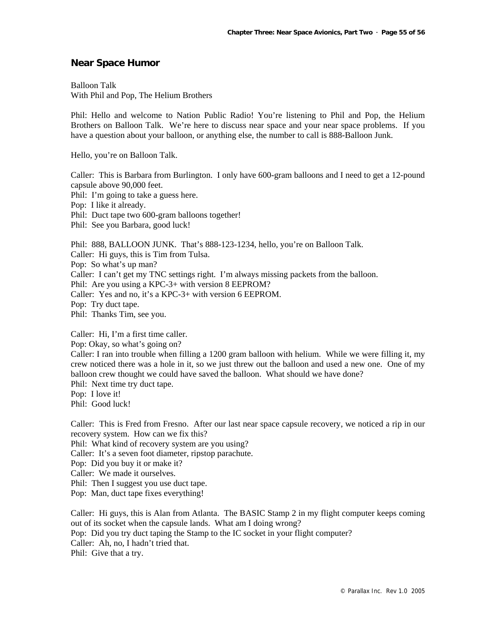# **Near Space Humor**

Balloon Talk With Phil and Pop, The Helium Brothers

Phil: Hello and welcome to Nation Public Radio! You're listening to Phil and Pop, the Helium Brothers on Balloon Talk. We're here to discuss near space and your near space problems. If you have a question about your balloon, or anything else, the number to call is 888-Balloon Junk.

Hello, you're on Balloon Talk.

Caller: This is Barbara from Burlington. I only have 600-gram balloons and I need to get a 12-pound capsule above 90,000 feet.

Phil: I'm going to take a guess here.

Pop: I like it already.

Phil: Duct tape two 600-gram balloons together!

Phil: See you Barbara, good luck!

Phil: 888, BALLOON JUNK. That's 888-123-1234, hello, you're on Balloon Talk. Caller: Hi guys, this is Tim from Tulsa. Pop: So what's up man? Caller: I can't get my TNC settings right. I'm always missing packets from the balloon. Phil: Are you using a KPC-3+ with version 8 EEPROM? Caller: Yes and no, it's a KPC-3+ with version 6 EEPROM. Pop: Try duct tape. Phil: Thanks Tim, see you.

Caller: Hi, I'm a first time caller.

Pop: Okay, so what's going on?

Caller: I ran into trouble when filling a 1200 gram balloon with helium. While we were filling it, my crew noticed there was a hole in it, so we just threw out the balloon and used a new one. One of my balloon crew thought we could have saved the balloon. What should we have done?

Phil: Next time try duct tape.

Pop: I love it!

Phil: Good luck!

Caller: This is Fred from Fresno. After our last near space capsule recovery, we noticed a rip in our recovery system. How can we fix this?

Phil: What kind of recovery system are you using?

Caller: It's a seven foot diameter, ripstop parachute.

Pop: Did you buy it or make it?

Caller: We made it ourselves.

Phil: Then I suggest you use duct tape.

Pop: Man, duct tape fixes everything!

Caller: Hi guys, this is Alan from Atlanta. The BASIC Stamp 2 in my flight computer keeps coming out of its socket when the capsule lands. What am I doing wrong? Pop: Did you try duct taping the Stamp to the IC socket in your flight computer?

Caller: Ah, no, I hadn't tried that. Phil: Give that a try.